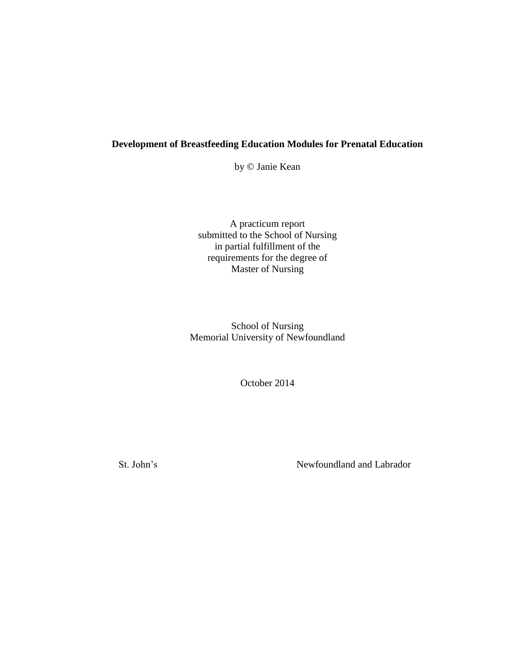# **Development of Breastfeeding Education Modules for Prenatal Education**

by © Janie Kean

A practicum report submitted to the School of Nursing in partial fulfillment of the requirements for the degree of Master of Nursing

School of Nursing Memorial University of Newfoundland

October 2014

St. John's Newfoundland and Labrador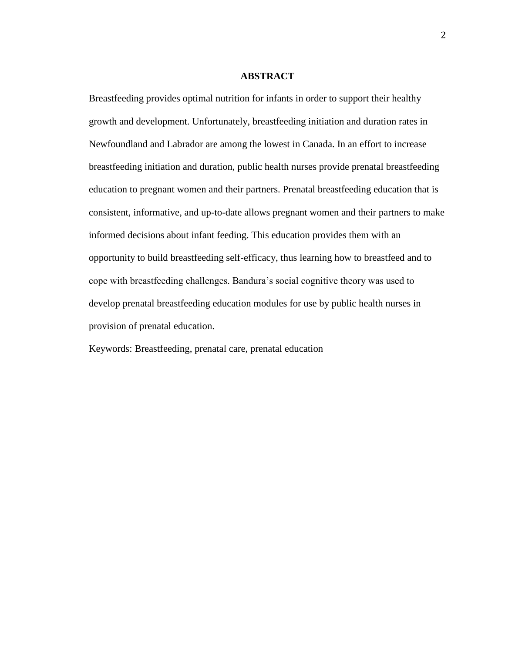#### **ABSTRACT**

Breastfeeding provides optimal nutrition for infants in order to support their healthy growth and development. Unfortunately, breastfeeding initiation and duration rates in Newfoundland and Labrador are among the lowest in Canada. In an effort to increase breastfeeding initiation and duration, public health nurses provide prenatal breastfeeding education to pregnant women and their partners. Prenatal breastfeeding education that is consistent, informative, and up-to-date allows pregnant women and their partners to make informed decisions about infant feeding. This education provides them with an opportunity to build breastfeeding self-efficacy, thus learning how to breastfeed and to cope with breastfeeding challenges. Bandura's social cognitive theory was used to develop prenatal breastfeeding education modules for use by public health nurses in provision of prenatal education.

Keywords: Breastfeeding, prenatal care, prenatal education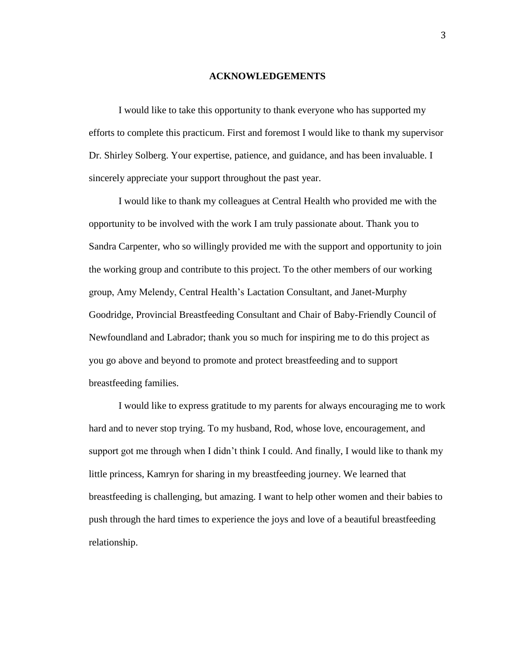#### **ACKNOWLEDGEMENTS**

I would like to take this opportunity to thank everyone who has supported my efforts to complete this practicum. First and foremost I would like to thank my supervisor Dr. Shirley Solberg. Your expertise, patience, and guidance, and has been invaluable. I sincerely appreciate your support throughout the past year.

I would like to thank my colleagues at Central Health who provided me with the opportunity to be involved with the work I am truly passionate about. Thank you to Sandra Carpenter, who so willingly provided me with the support and opportunity to join the working group and contribute to this project. To the other members of our working group, Amy Melendy, Central Health's Lactation Consultant, and Janet-Murphy Goodridge, Provincial Breastfeeding Consultant and Chair of Baby-Friendly Council of Newfoundland and Labrador; thank you so much for inspiring me to do this project as you go above and beyond to promote and protect breastfeeding and to support breastfeeding families.

I would like to express gratitude to my parents for always encouraging me to work hard and to never stop trying. To my husband, Rod, whose love, encouragement, and support got me through when I didn't think I could. And finally, I would like to thank my little princess, Kamryn for sharing in my breastfeeding journey. We learned that breastfeeding is challenging, but amazing. I want to help other women and their babies to push through the hard times to experience the joys and love of a beautiful breastfeeding relationship.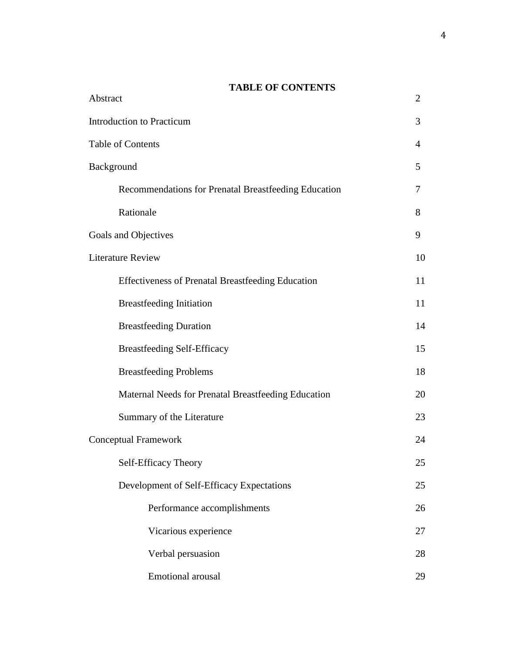# **TABLE OF CONTENTS**

| Abstract                                                 | $\overline{2}$ |
|----------------------------------------------------------|----------------|
| <b>Introduction to Practicum</b>                         | 3              |
| Table of Contents                                        | 4              |
| Background                                               | 5              |
| Recommendations for Prenatal Breastfeeding Education     | 7              |
| Rationale                                                | 8              |
| Goals and Objectives                                     | 9              |
| <b>Literature Review</b>                                 | 10             |
| <b>Effectiveness of Prenatal Breastfeeding Education</b> | 11             |
| <b>Breastfeeding Initiation</b>                          | 11             |
| <b>Breastfeeding Duration</b>                            | 14             |
| <b>Breastfeeding Self-Efficacy</b>                       | 15             |
| <b>Breastfeeding Problems</b>                            | 18             |
| Maternal Needs for Prenatal Breastfeeding Education      | 20             |
| Summary of the Literature                                | 23             |
| <b>Conceptual Framework</b>                              | 24             |
| Self-Efficacy Theory                                     | 25             |
| Development of Self-Efficacy Expectations                | 25             |
| Performance accomplishments                              | 26             |
| Vicarious experience                                     | 27             |
| Verbal persuasion                                        | 28             |
| Emotional arousal                                        | 29             |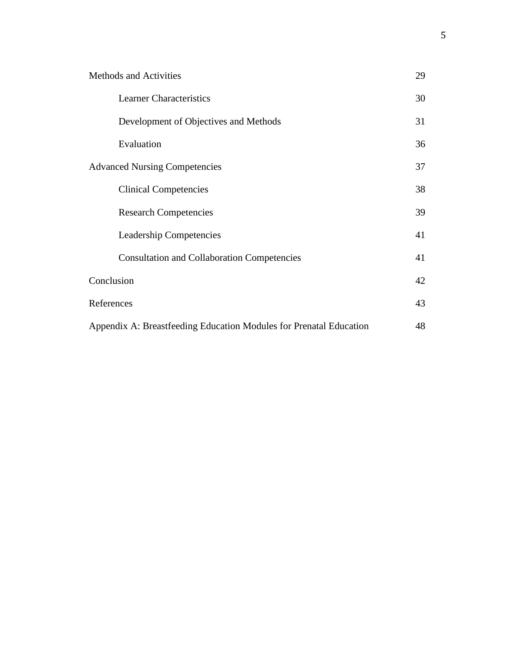| <b>Methods and Activities</b>                                      | 29 |
|--------------------------------------------------------------------|----|
| <b>Learner Characteristics</b>                                     | 30 |
| Development of Objectives and Methods                              | 31 |
| Evaluation                                                         | 36 |
| <b>Advanced Nursing Competencies</b>                               | 37 |
| <b>Clinical Competencies</b>                                       | 38 |
| <b>Research Competencies</b>                                       | 39 |
| <b>Leadership Competencies</b>                                     | 41 |
| <b>Consultation and Collaboration Competencies</b>                 | 41 |
| Conclusion                                                         | 42 |
| References                                                         | 43 |
| Appendix A: Breastfeeding Education Modules for Prenatal Education | 48 |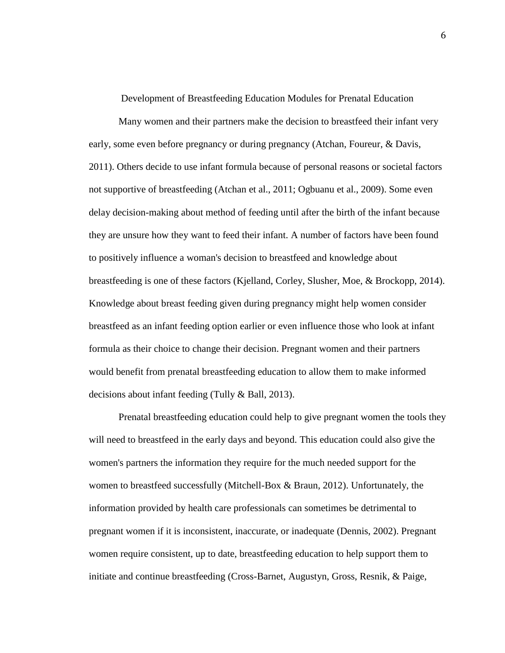Development of Breastfeeding Education Modules for Prenatal Education

Many women and their partners make the decision to breastfeed their infant very early, some even before pregnancy or during pregnancy (Atchan, Foureur, & Davis, 2011). Others decide to use infant formula because of personal reasons or societal factors not supportive of breastfeeding (Atchan et al., 2011; Ogbuanu et al., 2009). Some even delay decision-making about method of feeding until after the birth of the infant because they are unsure how they want to feed their infant. A number of factors have been found to positively influence a woman's decision to breastfeed and knowledge about breastfeeding is one of these factors (Kjelland, Corley, Slusher, Moe, & Brockopp, 2014). Knowledge about breast feeding given during pregnancy might help women consider breastfeed as an infant feeding option earlier or even influence those who look at infant formula as their choice to change their decision. Pregnant women and their partners would benefit from prenatal breastfeeding education to allow them to make informed decisions about infant feeding (Tully & Ball, 2013).

Prenatal breastfeeding education could help to give pregnant women the tools they will need to breastfeed in the early days and beyond. This education could also give the women's partners the information they require for the much needed support for the women to breastfeed successfully (Mitchell-Box & Braun, 2012). Unfortunately, the information provided by health care professionals can sometimes be detrimental to pregnant women if it is inconsistent, inaccurate, or inadequate (Dennis, 2002). Pregnant women require consistent, up to date, breastfeeding education to help support them to initiate and continue breastfeeding (Cross-Barnet, Augustyn, Gross, Resnik, & Paige,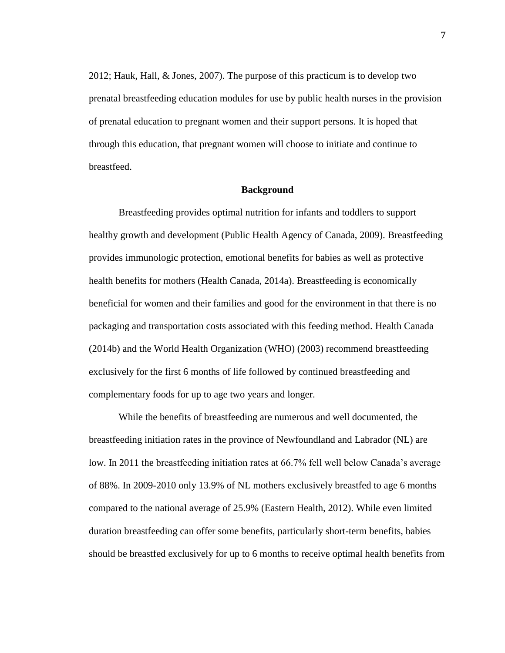2012; Hauk, Hall, & Jones, 2007). The purpose of this practicum is to develop two prenatal breastfeeding education modules for use by public health nurses in the provision of prenatal education to pregnant women and their support persons. It is hoped that through this education, that pregnant women will choose to initiate and continue to breastfeed.

## **Background**

Breastfeeding provides optimal nutrition for infants and toddlers to support healthy growth and development (Public Health Agency of Canada, 2009). Breastfeeding provides immunologic protection, emotional benefits for babies as well as protective health benefits for mothers (Health Canada, 2014a). Breastfeeding is economically beneficial for women and their families and good for the environment in that there is no packaging and transportation costs associated with this feeding method. Health Canada (2014b) and the World Health Organization (WHO) (2003) recommend breastfeeding exclusively for the first 6 months of life followed by continued breastfeeding and complementary foods for up to age two years and longer.

While the benefits of breastfeeding are numerous and well documented, the breastfeeding initiation rates in the province of Newfoundland and Labrador (NL) are low. In 2011 the breastfeeding initiation rates at 66.7% fell well below Canada's average of 88%. In 2009-2010 only 13.9% of NL mothers exclusively breastfed to age 6 months compared to the national average of 25.9% (Eastern Health, 2012). While even limited duration breastfeeding can offer some benefits, particularly short-term benefits, babies should be breastfed exclusively for up to 6 months to receive optimal health benefits from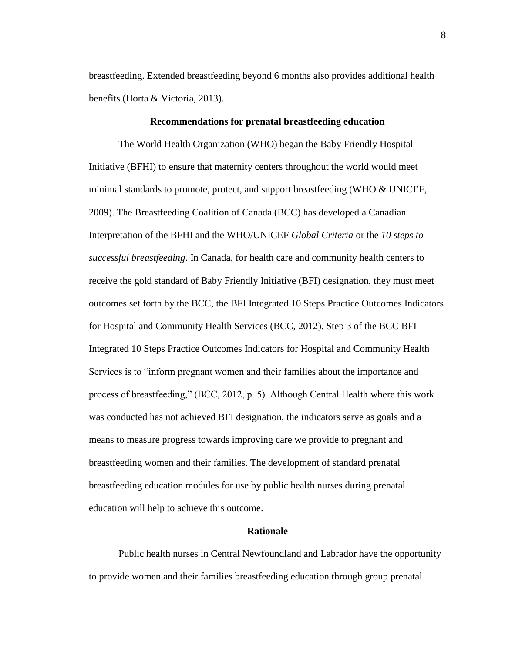breastfeeding. Extended breastfeeding beyond 6 months also provides additional health benefits (Horta & Victoria, 2013).

## **Recommendations for prenatal breastfeeding education**

The World Health Organization (WHO) began the Baby Friendly Hospital Initiative (BFHI) to ensure that maternity centers throughout the world would meet minimal standards to promote, protect, and support breastfeeding (WHO & UNICEF, 2009). The Breastfeeding Coalition of Canada (BCC) has developed a Canadian Interpretation of the BFHI and the WHO/UNICEF *Global Criteria* or the *10 steps to successful breastfeeding*. In Canada, for health care and community health centers to receive the gold standard of Baby Friendly Initiative (BFI) designation, they must meet outcomes set forth by the BCC, the BFI Integrated 10 Steps Practice Outcomes Indicators for Hospital and Community Health Services (BCC, 2012). Step 3 of the BCC BFI Integrated 10 Steps Practice Outcomes Indicators for Hospital and Community Health Services is to "inform pregnant women and their families about the importance and process of breastfeeding," (BCC, 2012, p. 5). Although Central Health where this work was conducted has not achieved BFI designation, the indicators serve as goals and a means to measure progress towards improving care we provide to pregnant and breastfeeding women and their families. The development of standard prenatal breastfeeding education modules for use by public health nurses during prenatal education will help to achieve this outcome.

## **Rationale**

Public health nurses in Central Newfoundland and Labrador have the opportunity to provide women and their families breastfeeding education through group prenatal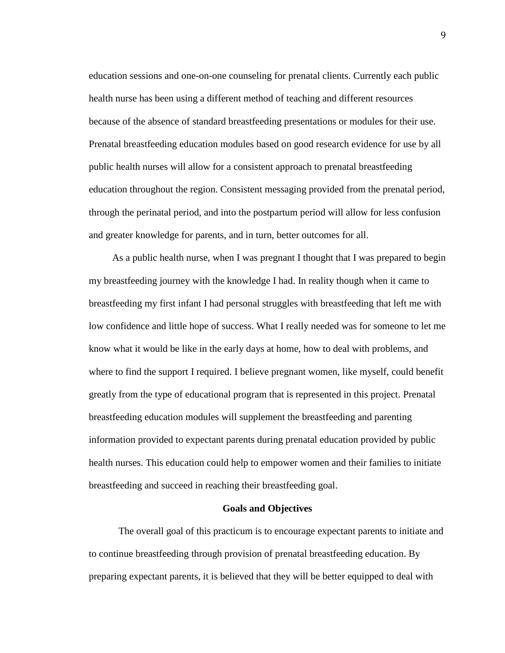education sessions and one-on-one counseling for prenatal clients. Currently each public health nurse has been using a different method of teaching and different resources because of the absence of standard breastfeeding presentations or modules for their use. Prenatal breastfeeding education modules based on good research evidence for use by all public health nurses will allow for a consistent approach to prenatal breastfeeding education throughout the region. Consistent messaging provided from the prenatal period, through the perinatal period, and into the postpartum period will allow for less confusion and greater knowledge for parents, and in turn, better outcomes for all.

As a public health nurse, when I was pregnant I thought that I was prepared to begin my breastfeeding journey with the knowledge I had. In reality though when it came to breastfeeding my first infant I had personal struggles with breastfeeding that left me with low confidence and little hope of success. What I really needed was for someone to let me know what it would be like in the early days at home, how to deal with problems, and where to find the support I required. I believe pregnant women, like myself, could benefit greatly from the type of educational program that is represented in this project. Prenatal breastfeeding education modules will supplement the breastfeeding and parenting information provided to expectant parents during prenatal education provided by public health nurses. This education could help to empower women and their families to initiate breastfeeding and succeed in reaching their breastfeeding goal.

### **Goals and Objectives**

The overall goal of this practicum is to encourage expectant parents to initiate and to continue breastfeeding through provision of prenatal breastfeeding education. By preparing expectant parents, it is believed that they will be better equipped to deal with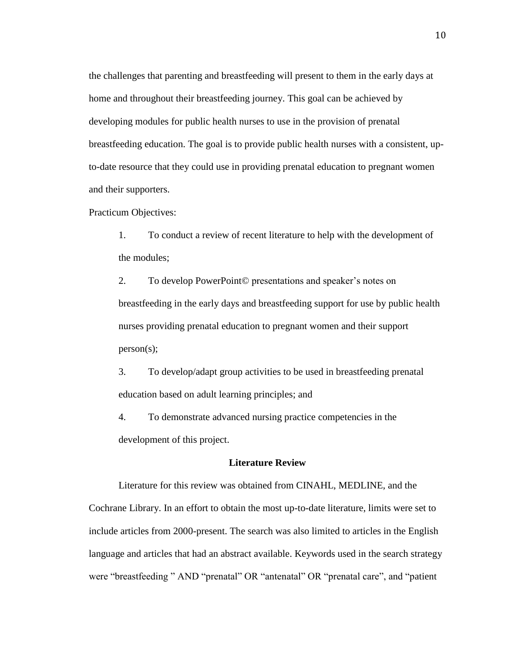the challenges that parenting and breastfeeding will present to them in the early days at home and throughout their breastfeeding journey. This goal can be achieved by developing modules for public health nurses to use in the provision of prenatal breastfeeding education. The goal is to provide public health nurses with a consistent, upto-date resource that they could use in providing prenatal education to pregnant women and their supporters.

Practicum Objectives:

1. To conduct a review of recent literature to help with the development of the modules;

2. To develop PowerPoint© presentations and speaker's notes on breastfeeding in the early days and breastfeeding support for use by public health nurses providing prenatal education to pregnant women and their support person(s);

3. To develop/adapt group activities to be used in breastfeeding prenatal education based on adult learning principles; and

4. To demonstrate advanced nursing practice competencies in the development of this project.

# **Literature Review**

Literature for this review was obtained from CINAHL, MEDLINE, and the Cochrane Library. In an effort to obtain the most up-to-date literature, limits were set to include articles from 2000-present. The search was also limited to articles in the English language and articles that had an abstract available. Keywords used in the search strategy were "breastfeeding" AND "prenatal" OR "antenatal" OR "prenatal care", and "patient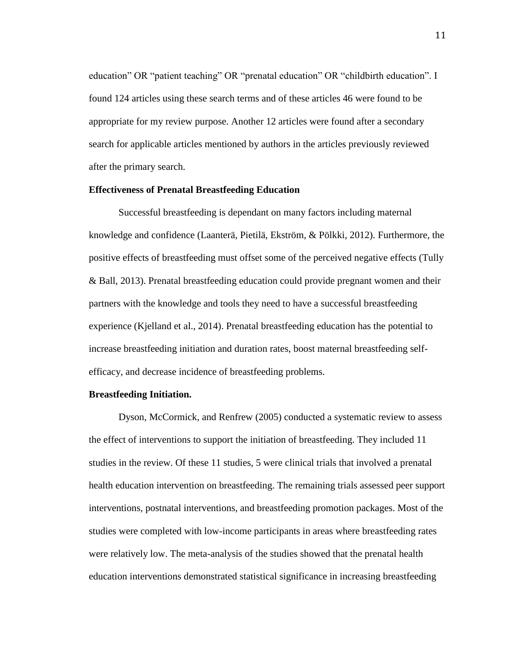education" OR "patient teaching" OR "prenatal education" OR "childbirth education". I found 124 articles using these search terms and of these articles 46 were found to be appropriate for my review purpose. Another 12 articles were found after a secondary search for applicable articles mentioned by authors in the articles previously reviewed after the primary search.

## **Effectiveness of Prenatal Breastfeeding Education**

Successful breastfeeding is dependant on many factors including maternal knowledge and confidence (Laanterä, Pietilä, Ekström, & Pölkki, 2012). Furthermore, the positive effects of breastfeeding must offset some of the perceived negative effects (Tully & Ball, 2013). Prenatal breastfeeding education could provide pregnant women and their partners with the knowledge and tools they need to have a successful breastfeeding experience (Kjelland et al., 2014). Prenatal breastfeeding education has the potential to increase breastfeeding initiation and duration rates, boost maternal breastfeeding selfefficacy, and decrease incidence of breastfeeding problems.

## **Breastfeeding Initiation.**

Dyson, McCormick, and Renfrew (2005) conducted a systematic review to assess the effect of interventions to support the initiation of breastfeeding. They included 11 studies in the review. Of these 11 studies, 5 were clinical trials that involved a prenatal health education intervention on breastfeeding. The remaining trials assessed peer support interventions, postnatal interventions, and breastfeeding promotion packages. Most of the studies were completed with low-income participants in areas where breastfeeding rates were relatively low. The meta-analysis of the studies showed that the prenatal health education interventions demonstrated statistical significance in increasing breastfeeding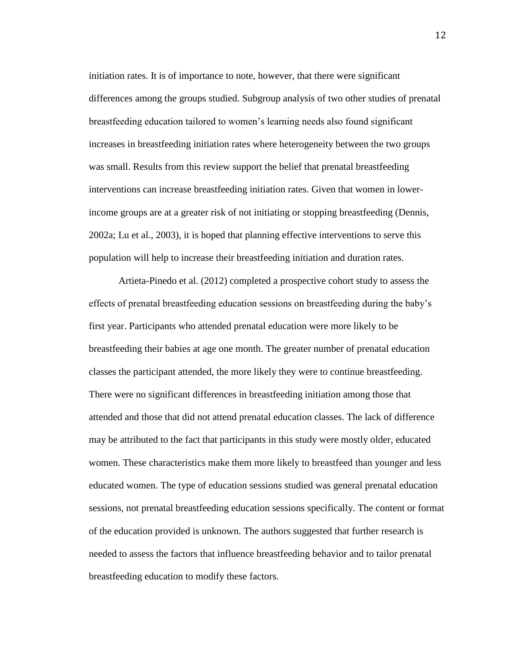initiation rates. It is of importance to note, however, that there were significant differences among the groups studied. Subgroup analysis of two other studies of prenatal breastfeeding education tailored to women's learning needs also found significant increases in breastfeeding initiation rates where heterogeneity between the two groups was small. Results from this review support the belief that prenatal breastfeeding interventions can increase breastfeeding initiation rates. Given that women in lowerincome groups are at a greater risk of not initiating or stopping breastfeeding (Dennis, 2002a; Lu et al., 2003), it is hoped that planning effective interventions to serve this population will help to increase their breastfeeding initiation and duration rates.

Artieta-Pinedo et al. (2012) completed a prospective cohort study to assess the effects of prenatal breastfeeding education sessions on breastfeeding during the baby's first year. Participants who attended prenatal education were more likely to be breastfeeding their babies at age one month. The greater number of prenatal education classes the participant attended, the more likely they were to continue breastfeeding. There were no significant differences in breastfeeding initiation among those that attended and those that did not attend prenatal education classes. The lack of difference may be attributed to the fact that participants in this study were mostly older, educated women. These characteristics make them more likely to breastfeed than younger and less educated women. The type of education sessions studied was general prenatal education sessions, not prenatal breastfeeding education sessions specifically. The content or format of the education provided is unknown. The authors suggested that further research is needed to assess the factors that influence breastfeeding behavior and to tailor prenatal breastfeeding education to modify these factors.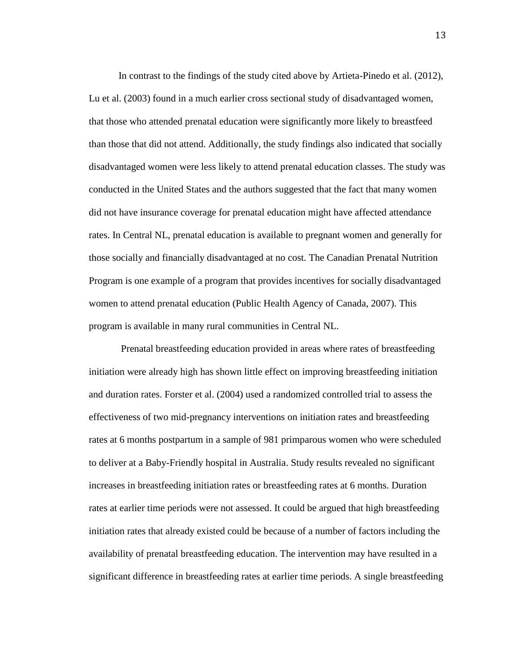In contrast to the findings of the study cited above by Artieta-Pinedo et al. (2012), Lu et al. (2003) found in a much earlier cross sectional study of disadvantaged women, that those who attended prenatal education were significantly more likely to breastfeed than those that did not attend. Additionally, the study findings also indicated that socially disadvantaged women were less likely to attend prenatal education classes. The study was conducted in the United States and the authors suggested that the fact that many women did not have insurance coverage for prenatal education might have affected attendance rates. In Central NL, prenatal education is available to pregnant women and generally for those socially and financially disadvantaged at no cost. The Canadian Prenatal Nutrition Program is one example of a program that provides incentives for socially disadvantaged women to attend prenatal education (Public Health Agency of Canada, 2007). This program is available in many rural communities in Central NL.

Prenatal breastfeeding education provided in areas where rates of breastfeeding initiation were already high has shown little effect on improving breastfeeding initiation and duration rates. Forster et al. (2004) used a randomized controlled trial to assess the effectiveness of two mid-pregnancy interventions on initiation rates and breastfeeding rates at 6 months postpartum in a sample of 981 primparous women who were scheduled to deliver at a Baby-Friendly hospital in Australia. Study results revealed no significant increases in breastfeeding initiation rates or breastfeeding rates at 6 months. Duration rates at earlier time periods were not assessed. It could be argued that high breastfeeding initiation rates that already existed could be because of a number of factors including the availability of prenatal breastfeeding education. The intervention may have resulted in a significant difference in breastfeeding rates at earlier time periods. A single breastfeeding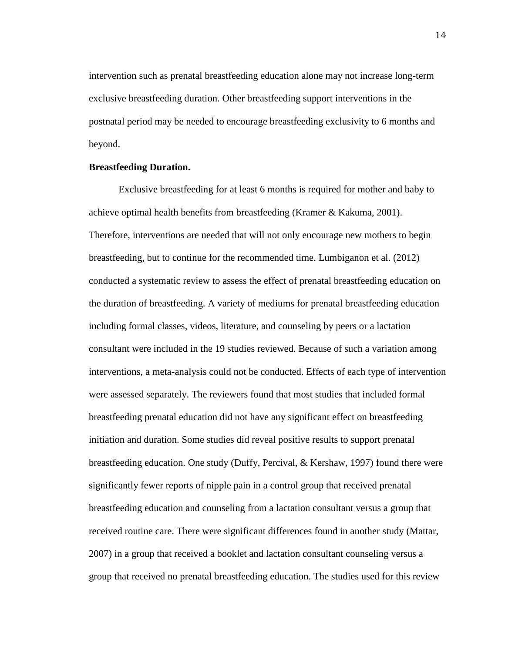intervention such as prenatal breastfeeding education alone may not increase long-term exclusive breastfeeding duration. Other breastfeeding support interventions in the postnatal period may be needed to encourage breastfeeding exclusivity to 6 months and beyond.

#### **Breastfeeding Duration.**

Exclusive breastfeeding for at least 6 months is required for mother and baby to achieve optimal health benefits from breastfeeding (Kramer & Kakuma, 2001). Therefore, interventions are needed that will not only encourage new mothers to begin breastfeeding, but to continue for the recommended time. Lumbiganon et al. (2012) conducted a systematic review to assess the effect of prenatal breastfeeding education on the duration of breastfeeding. A variety of mediums for prenatal breastfeeding education including formal classes, videos, literature, and counseling by peers or a lactation consultant were included in the 19 studies reviewed. Because of such a variation among interventions, a meta-analysis could not be conducted. Effects of each type of intervention were assessed separately. The reviewers found that most studies that included formal breastfeeding prenatal education did not have any significant effect on breastfeeding initiation and duration. Some studies did reveal positive results to support prenatal breastfeeding education. One study (Duffy, Percival, & Kershaw, 1997) found there were significantly fewer reports of nipple pain in a control group that received prenatal breastfeeding education and counseling from a lactation consultant versus a group that received routine care. There were significant differences found in another study (Mattar, 2007) in a group that received a booklet and lactation consultant counseling versus a group that received no prenatal breastfeeding education. The studies used for this review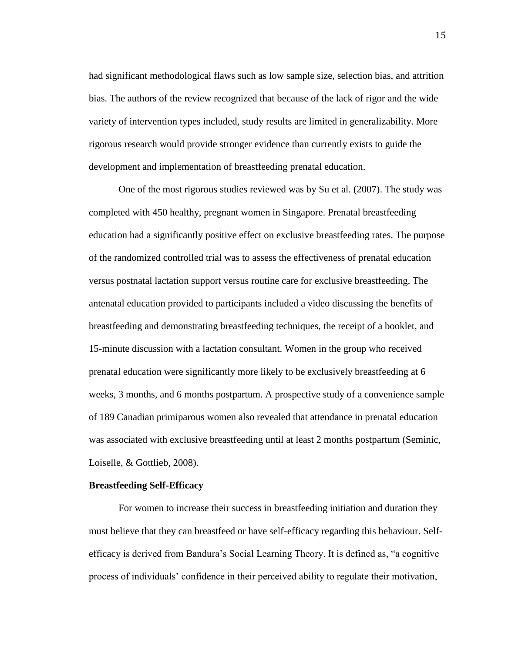had significant methodological flaws such as low sample size, selection bias, and attrition bias. The authors of the review recognized that because of the lack of rigor and the wide variety of intervention types included, study results are limited in generalizability. More rigorous research would provide stronger evidence than currently exists to guide the development and implementation of breastfeeding prenatal education.

One of the most rigorous studies reviewed was by Su et al. (2007). The study was completed with 450 healthy, pregnant women in Singapore. Prenatal breastfeeding education had a significantly positive effect on exclusive breastfeeding rates. The purpose of the randomized controlled trial was to assess the effectiveness of prenatal education versus postnatal lactation support versus routine care for exclusive breastfeeding. The antenatal education provided to participants included a video discussing the benefits of breastfeeding and demonstrating breastfeeding techniques, the receipt of a booklet, and 15-minute discussion with a lactation consultant. Women in the group who received prenatal education were significantly more likely to be exclusively breastfeeding at 6 weeks, 3 months, and 6 months postpartum. A prospective study of a convenience sample of 189 Canadian primiparous women also revealed that attendance in prenatal education was associated with exclusive breastfeeding until at least 2 months postpartum (Seminic, Loiselle, & Gottlieb, 2008).

#### **Breastfeeding Self-Efficacy**

For women to increase their success in breastfeeding initiation and duration they must believe that they can breastfeed or have self-efficacy regarding this behaviour. Selfefficacy is derived from Bandura's Social Learning Theory. It is defined as, "a cognitive process of individuals' confidence in their perceived ability to regulate their motivation,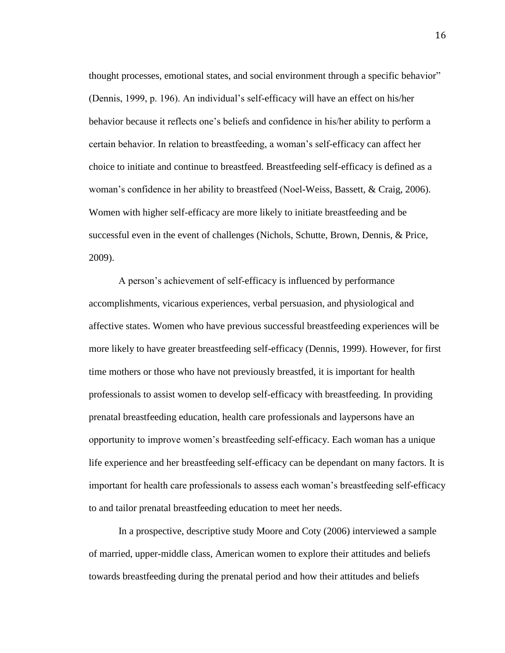thought processes, emotional states, and social environment through a specific behavior" (Dennis, 1999, p. 196). An individual's self-efficacy will have an effect on his/her behavior because it reflects one's beliefs and confidence in his/her ability to perform a certain behavior. In relation to breastfeeding, a woman's self-efficacy can affect her choice to initiate and continue to breastfeed. Breastfeeding self-efficacy is defined as a woman's confidence in her ability to breastfeed (Noel-Weiss, Bassett, & Craig, 2006). Women with higher self-efficacy are more likely to initiate breastfeeding and be successful even in the event of challenges (Nichols, Schutte, Brown, Dennis, & Price, 2009).

A person's achievement of self-efficacy is influenced by performance accomplishments, vicarious experiences, verbal persuasion, and physiological and affective states. Women who have previous successful breastfeeding experiences will be more likely to have greater breastfeeding self-efficacy (Dennis, 1999). However, for first time mothers or those who have not previously breastfed, it is important for health professionals to assist women to develop self-efficacy with breastfeeding. In providing prenatal breastfeeding education, health care professionals and laypersons have an opportunity to improve women's breastfeeding self-efficacy. Each woman has a unique life experience and her breastfeeding self-efficacy can be dependant on many factors. It is important for health care professionals to assess each woman's breastfeeding self-efficacy to and tailor prenatal breastfeeding education to meet her needs.

In a prospective, descriptive study Moore and Coty (2006) interviewed a sample of married, upper-middle class, American women to explore their attitudes and beliefs towards breastfeeding during the prenatal period and how their attitudes and beliefs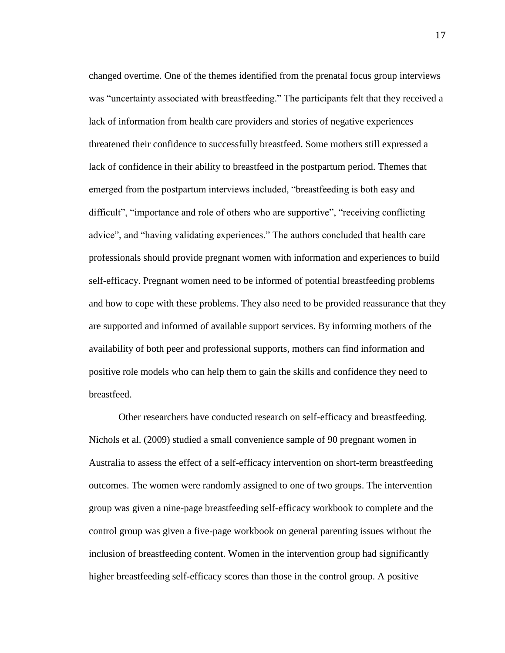changed overtime. One of the themes identified from the prenatal focus group interviews was "uncertainty associated with breastfeeding." The participants felt that they received a lack of information from health care providers and stories of negative experiences threatened their confidence to successfully breastfeed. Some mothers still expressed a lack of confidence in their ability to breastfeed in the postpartum period. Themes that emerged from the postpartum interviews included, "breastfeeding is both easy and difficult", "importance and role of others who are supportive", "receiving conflicting advice", and "having validating experiences." The authors concluded that health care professionals should provide pregnant women with information and experiences to build self-efficacy. Pregnant women need to be informed of potential breastfeeding problems and how to cope with these problems. They also need to be provided reassurance that they are supported and informed of available support services. By informing mothers of the availability of both peer and professional supports, mothers can find information and positive role models who can help them to gain the skills and confidence they need to breastfeed.

Other researchers have conducted research on self-efficacy and breastfeeding. Nichols et al. (2009) studied a small convenience sample of 90 pregnant women in Australia to assess the effect of a self-efficacy intervention on short-term breastfeeding outcomes. The women were randomly assigned to one of two groups. The intervention group was given a nine-page breastfeeding self-efficacy workbook to complete and the control group was given a five-page workbook on general parenting issues without the inclusion of breastfeeding content. Women in the intervention group had significantly higher breastfeeding self-efficacy scores than those in the control group. A positive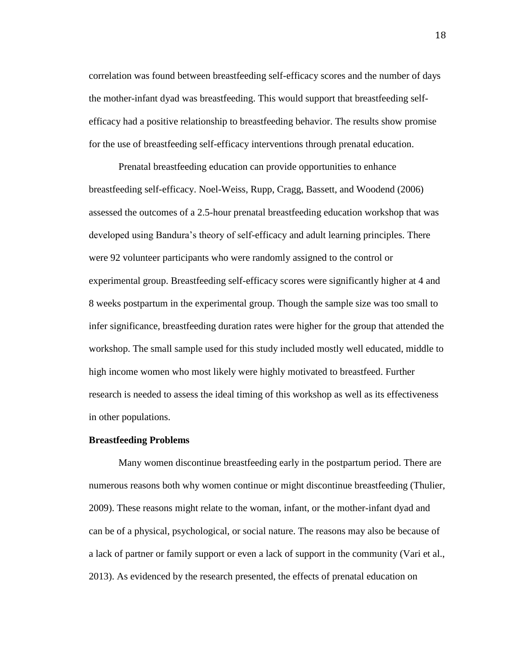correlation was found between breastfeeding self-efficacy scores and the number of days the mother-infant dyad was breastfeeding. This would support that breastfeeding selfefficacy had a positive relationship to breastfeeding behavior. The results show promise for the use of breastfeeding self-efficacy interventions through prenatal education.

Prenatal breastfeeding education can provide opportunities to enhance breastfeeding self-efficacy. Noel-Weiss, Rupp, Cragg, Bassett, and Woodend (2006) assessed the outcomes of a 2.5-hour prenatal breastfeeding education workshop that was developed using Bandura's theory of self-efficacy and adult learning principles. There were 92 volunteer participants who were randomly assigned to the control or experimental group. Breastfeeding self-efficacy scores were significantly higher at 4 and 8 weeks postpartum in the experimental group. Though the sample size was too small to infer significance, breastfeeding duration rates were higher for the group that attended the workshop. The small sample used for this study included mostly well educated, middle to high income women who most likely were highly motivated to breastfeed. Further research is needed to assess the ideal timing of this workshop as well as its effectiveness in other populations.

## **Breastfeeding Problems**

Many women discontinue breastfeeding early in the postpartum period. There are numerous reasons both why women continue or might discontinue breastfeeding (Thulier, 2009). These reasons might relate to the woman, infant, or the mother-infant dyad and can be of a physical, psychological, or social nature. The reasons may also be because of a lack of partner or family support or even a lack of support in the community (Vari et al., 2013). As evidenced by the research presented, the effects of prenatal education on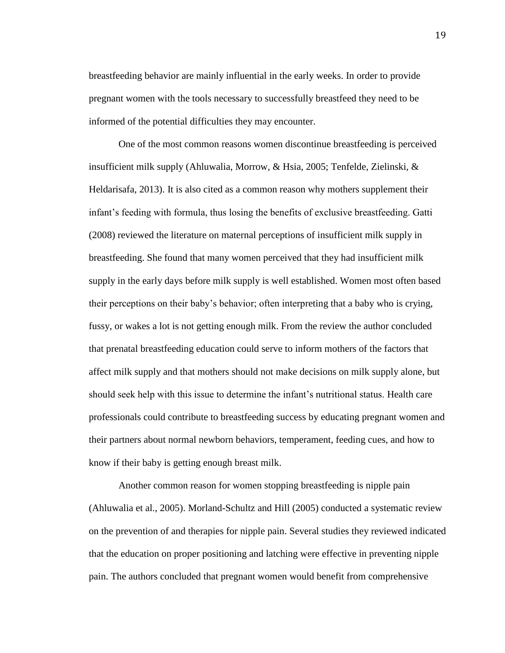breastfeeding behavior are mainly influential in the early weeks. In order to provide pregnant women with the tools necessary to successfully breastfeed they need to be informed of the potential difficulties they may encounter.

One of the most common reasons women discontinue breastfeeding is perceived insufficient milk supply (Ahluwalia, Morrow, & Hsia, 2005; Tenfelde, Zielinski, & Heldarisafa, 2013). It is also cited as a common reason why mothers supplement their infant's feeding with formula, thus losing the benefits of exclusive breastfeeding. Gatti (2008) reviewed the literature on maternal perceptions of insufficient milk supply in breastfeeding. She found that many women perceived that they had insufficient milk supply in the early days before milk supply is well established. Women most often based their perceptions on their baby's behavior; often interpreting that a baby who is crying, fussy, or wakes a lot is not getting enough milk. From the review the author concluded that prenatal breastfeeding education could serve to inform mothers of the factors that affect milk supply and that mothers should not make decisions on milk supply alone, but should seek help with this issue to determine the infant's nutritional status. Health care professionals could contribute to breastfeeding success by educating pregnant women and their partners about normal newborn behaviors, temperament, feeding cues, and how to know if their baby is getting enough breast milk.

Another common reason for women stopping breastfeeding is nipple pain (Ahluwalia et al., 2005). Morland-Schultz and Hill (2005) conducted a systematic review on the prevention of and therapies for nipple pain. Several studies they reviewed indicated that the education on proper positioning and latching were effective in preventing nipple pain. The authors concluded that pregnant women would benefit from comprehensive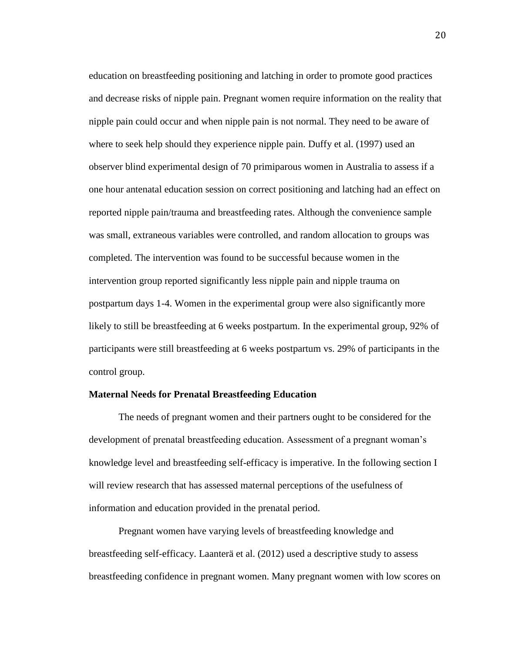education on breastfeeding positioning and latching in order to promote good practices and decrease risks of nipple pain. Pregnant women require information on the reality that nipple pain could occur and when nipple pain is not normal. They need to be aware of where to seek help should they experience nipple pain. Duffy et al. (1997) used an observer blind experimental design of 70 primiparous women in Australia to assess if a one hour antenatal education session on correct positioning and latching had an effect on reported nipple pain/trauma and breastfeeding rates. Although the convenience sample was small, extraneous variables were controlled, and random allocation to groups was completed. The intervention was found to be successful because women in the intervention group reported significantly less nipple pain and nipple trauma on postpartum days 1-4. Women in the experimental group were also significantly more likely to still be breastfeeding at 6 weeks postpartum. In the experimental group, 92% of participants were still breastfeeding at 6 weeks postpartum vs. 29% of participants in the control group.

## **Maternal Needs for Prenatal Breastfeeding Education**

The needs of pregnant women and their partners ought to be considered for the development of prenatal breastfeeding education. Assessment of a pregnant woman's knowledge level and breastfeeding self-efficacy is imperative. In the following section I will review research that has assessed maternal perceptions of the usefulness of information and education provided in the prenatal period.

Pregnant women have varying levels of breastfeeding knowledge and breastfeeding self-efficacy. Laanterä et al. (2012) used a descriptive study to assess breastfeeding confidence in pregnant women. Many pregnant women with low scores on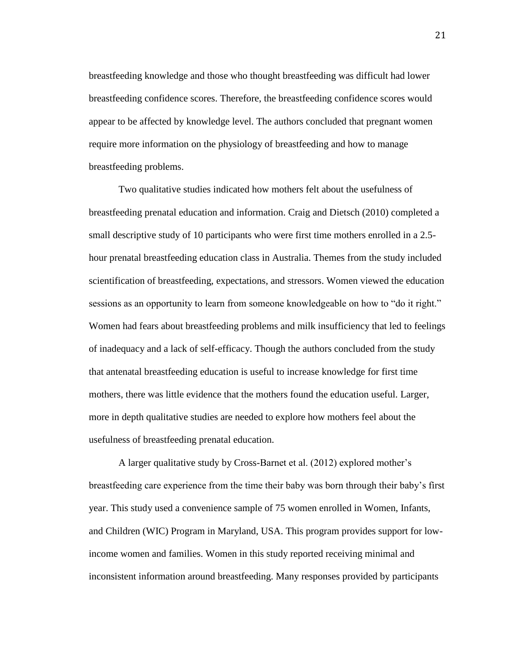breastfeeding knowledge and those who thought breastfeeding was difficult had lower breastfeeding confidence scores. Therefore, the breastfeeding confidence scores would appear to be affected by knowledge level. The authors concluded that pregnant women require more information on the physiology of breastfeeding and how to manage breastfeeding problems.

Two qualitative studies indicated how mothers felt about the usefulness of breastfeeding prenatal education and information. Craig and Dietsch (2010) completed a small descriptive study of 10 participants who were first time mothers enrolled in a 2.5 hour prenatal breastfeeding education class in Australia. Themes from the study included scientification of breastfeeding, expectations, and stressors. Women viewed the education sessions as an opportunity to learn from someone knowledgeable on how to "do it right." Women had fears about breastfeeding problems and milk insufficiency that led to feelings of inadequacy and a lack of self-efficacy. Though the authors concluded from the study that antenatal breastfeeding education is useful to increase knowledge for first time mothers, there was little evidence that the mothers found the education useful. Larger, more in depth qualitative studies are needed to explore how mothers feel about the usefulness of breastfeeding prenatal education.

A larger qualitative study by Cross-Barnet et al. (2012) explored mother's breastfeeding care experience from the time their baby was born through their baby's first year. This study used a convenience sample of 75 women enrolled in Women, Infants, and Children (WIC) Program in Maryland, USA. This program provides support for lowincome women and families. Women in this study reported receiving minimal and inconsistent information around breastfeeding. Many responses provided by participants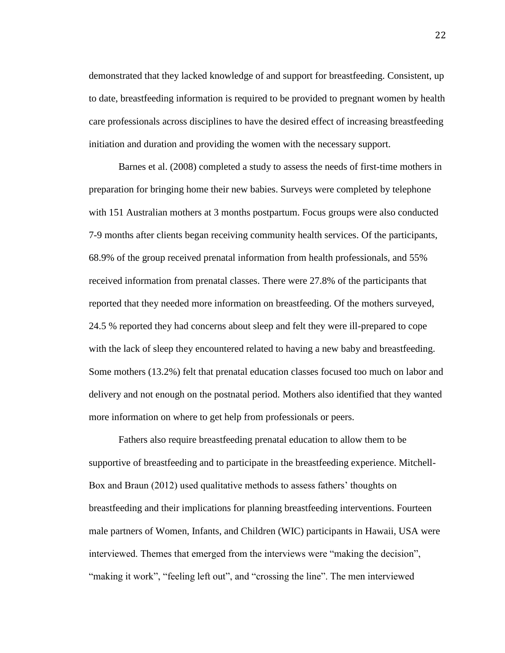demonstrated that they lacked knowledge of and support for breastfeeding. Consistent, up to date, breastfeeding information is required to be provided to pregnant women by health care professionals across disciplines to have the desired effect of increasing breastfeeding initiation and duration and providing the women with the necessary support.

Barnes et al. (2008) completed a study to assess the needs of first-time mothers in preparation for bringing home their new babies. Surveys were completed by telephone with 151 Australian mothers at 3 months postpartum. Focus groups were also conducted 7-9 months after clients began receiving community health services. Of the participants, 68.9% of the group received prenatal information from health professionals, and 55% received information from prenatal classes. There were 27.8% of the participants that reported that they needed more information on breastfeeding. Of the mothers surveyed, 24.5 % reported they had concerns about sleep and felt they were ill-prepared to cope with the lack of sleep they encountered related to having a new baby and breastfeeding. Some mothers (13.2%) felt that prenatal education classes focused too much on labor and delivery and not enough on the postnatal period. Mothers also identified that they wanted more information on where to get help from professionals or peers.

Fathers also require breastfeeding prenatal education to allow them to be supportive of breastfeeding and to participate in the breastfeeding experience. Mitchell-Box and Braun (2012) used qualitative methods to assess fathers' thoughts on breastfeeding and their implications for planning breastfeeding interventions. Fourteen male partners of Women, Infants, and Children (WIC) participants in Hawaii, USA were interviewed. Themes that emerged from the interviews were "making the decision", "making it work", "feeling left out", and "crossing the line". The men interviewed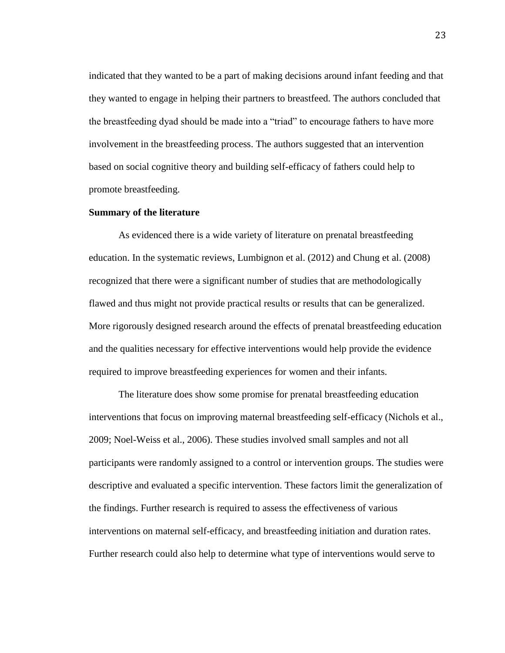indicated that they wanted to be a part of making decisions around infant feeding and that they wanted to engage in helping their partners to breastfeed. The authors concluded that the breastfeeding dyad should be made into a "triad" to encourage fathers to have more involvement in the breastfeeding process. The authors suggested that an intervention based on social cognitive theory and building self-efficacy of fathers could help to promote breastfeeding.

# **Summary of the literature**

As evidenced there is a wide variety of literature on prenatal breastfeeding education. In the systematic reviews, Lumbignon et al. (2012) and Chung et al. (2008) recognized that there were a significant number of studies that are methodologically flawed and thus might not provide practical results or results that can be generalized. More rigorously designed research around the effects of prenatal breastfeeding education and the qualities necessary for effective interventions would help provide the evidence required to improve breastfeeding experiences for women and their infants.

The literature does show some promise for prenatal breastfeeding education interventions that focus on improving maternal breastfeeding self-efficacy (Nichols et al., 2009; Noel-Weiss et al., 2006). These studies involved small samples and not all participants were randomly assigned to a control or intervention groups. The studies were descriptive and evaluated a specific intervention. These factors limit the generalization of the findings. Further research is required to assess the effectiveness of various interventions on maternal self-efficacy, and breastfeeding initiation and duration rates. Further research could also help to determine what type of interventions would serve to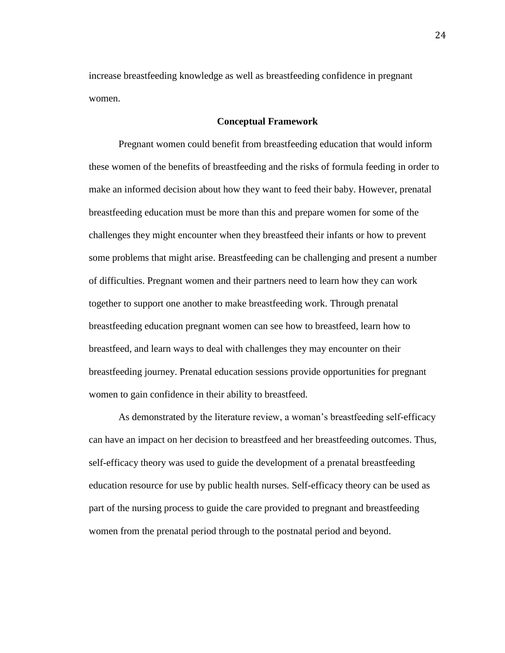increase breastfeeding knowledge as well as breastfeeding confidence in pregnant women.

## **Conceptual Framework**

Pregnant women could benefit from breastfeeding education that would inform these women of the benefits of breastfeeding and the risks of formula feeding in order to make an informed decision about how they want to feed their baby. However, prenatal breastfeeding education must be more than this and prepare women for some of the challenges they might encounter when they breastfeed their infants or how to prevent some problems that might arise. Breastfeeding can be challenging and present a number of difficulties. Pregnant women and their partners need to learn how they can work together to support one another to make breastfeeding work. Through prenatal breastfeeding education pregnant women can see how to breastfeed, learn how to breastfeed, and learn ways to deal with challenges they may encounter on their breastfeeding journey. Prenatal education sessions provide opportunities for pregnant women to gain confidence in their ability to breastfeed.

As demonstrated by the literature review, a woman's breastfeeding self-efficacy can have an impact on her decision to breastfeed and her breastfeeding outcomes. Thus, self-efficacy theory was used to guide the development of a prenatal breastfeeding education resource for use by public health nurses. Self-efficacy theory can be used as part of the nursing process to guide the care provided to pregnant and breastfeeding women from the prenatal period through to the postnatal period and beyond.

24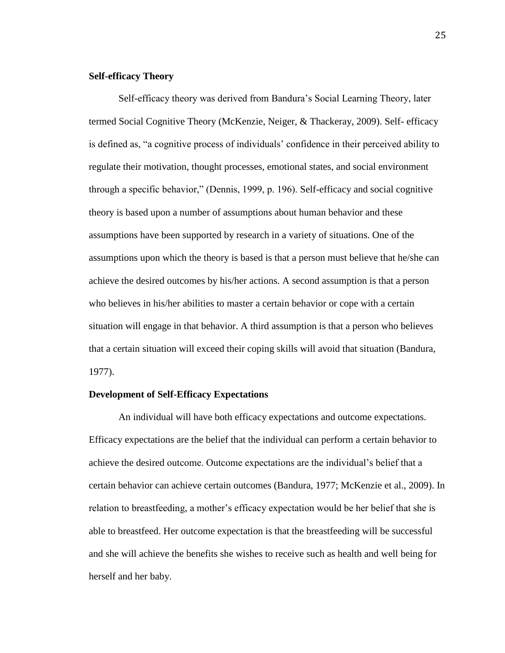#### **Self-efficacy Theory**

Self-efficacy theory was derived from Bandura's Social Learning Theory, later termed Social Cognitive Theory (McKenzie, Neiger, & Thackeray, 2009). Self- efficacy is defined as, "a cognitive process of individuals' confidence in their perceived ability to regulate their motivation, thought processes, emotional states, and social environment through a specific behavior," (Dennis, 1999, p. 196). Self-efficacy and social cognitive theory is based upon a number of assumptions about human behavior and these assumptions have been supported by research in a variety of situations. One of the assumptions upon which the theory is based is that a person must believe that he/she can achieve the desired outcomes by his/her actions. A second assumption is that a person who believes in his/her abilities to master a certain behavior or cope with a certain situation will engage in that behavior. A third assumption is that a person who believes that a certain situation will exceed their coping skills will avoid that situation (Bandura, 1977).

# **Development of Self-Efficacy Expectations**

An individual will have both efficacy expectations and outcome expectations. Efficacy expectations are the belief that the individual can perform a certain behavior to achieve the desired outcome. Outcome expectations are the individual's belief that a certain behavior can achieve certain outcomes (Bandura, 1977; McKenzie et al., 2009). In relation to breastfeeding, a mother's efficacy expectation would be her belief that she is able to breastfeed. Her outcome expectation is that the breastfeeding will be successful and she will achieve the benefits she wishes to receive such as health and well being for herself and her baby.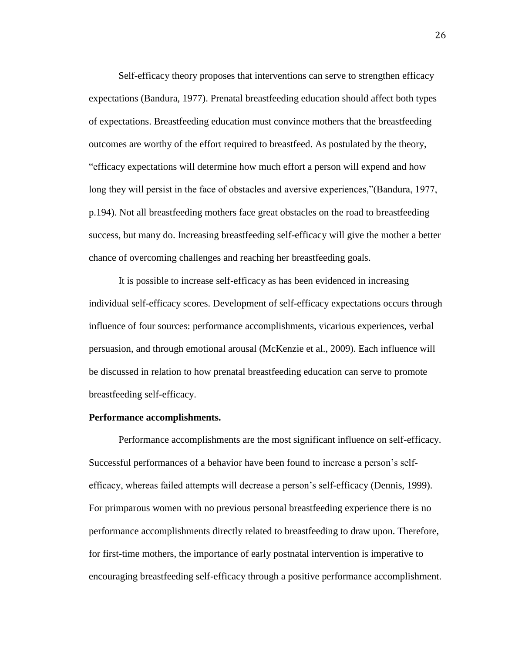Self-efficacy theory proposes that interventions can serve to strengthen efficacy expectations (Bandura, 1977). Prenatal breastfeeding education should affect both types of expectations. Breastfeeding education must convince mothers that the breastfeeding outcomes are worthy of the effort required to breastfeed. As postulated by the theory, "efficacy expectations will determine how much effort a person will expend and how long they will persist in the face of obstacles and aversive experiences,"(Bandura, 1977, p.194). Not all breastfeeding mothers face great obstacles on the road to breastfeeding success, but many do. Increasing breastfeeding self-efficacy will give the mother a better chance of overcoming challenges and reaching her breastfeeding goals.

It is possible to increase self-efficacy as has been evidenced in increasing individual self-efficacy scores. Development of self-efficacy expectations occurs through influence of four sources: performance accomplishments, vicarious experiences, verbal persuasion, and through emotional arousal (McKenzie et al., 2009). Each influence will be discussed in relation to how prenatal breastfeeding education can serve to promote breastfeeding self-efficacy.

## **Performance accomplishments.**

Performance accomplishments are the most significant influence on self-efficacy. Successful performances of a behavior have been found to increase a person's selfefficacy, whereas failed attempts will decrease a person's self-efficacy (Dennis, 1999). For primparous women with no previous personal breastfeeding experience there is no performance accomplishments directly related to breastfeeding to draw upon. Therefore, for first-time mothers, the importance of early postnatal intervention is imperative to encouraging breastfeeding self-efficacy through a positive performance accomplishment.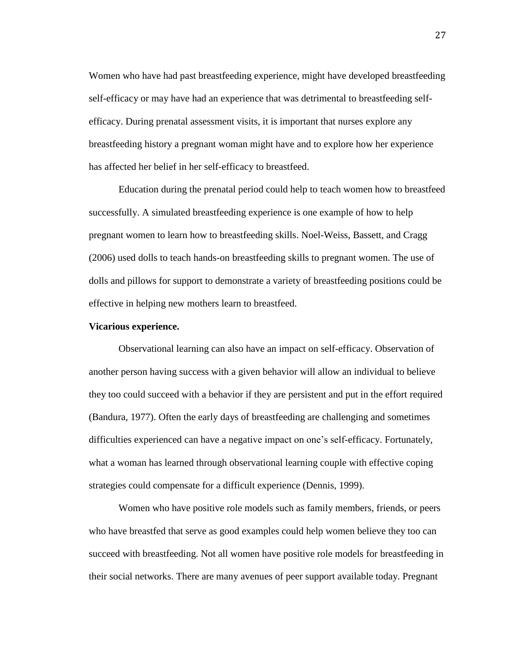Women who have had past breastfeeding experience, might have developed breastfeeding self-efficacy or may have had an experience that was detrimental to breastfeeding selfefficacy. During prenatal assessment visits, it is important that nurses explore any breastfeeding history a pregnant woman might have and to explore how her experience has affected her belief in her self-efficacy to breastfeed.

Education during the prenatal period could help to teach women how to breastfeed successfully. A simulated breastfeeding experience is one example of how to help pregnant women to learn how to breastfeeding skills. Noel-Weiss, Bassett, and Cragg (2006) used dolls to teach hands-on breastfeeding skills to pregnant women. The use of dolls and pillows for support to demonstrate a variety of breastfeeding positions could be effective in helping new mothers learn to breastfeed.

## **Vicarious experience.**

Observational learning can also have an impact on self-efficacy. Observation of another person having success with a given behavior will allow an individual to believe they too could succeed with a behavior if they are persistent and put in the effort required (Bandura, 1977). Often the early days of breastfeeding are challenging and sometimes difficulties experienced can have a negative impact on one's self-efficacy. Fortunately, what a woman has learned through observational learning couple with effective coping strategies could compensate for a difficult experience (Dennis, 1999).

Women who have positive role models such as family members, friends, or peers who have breastfed that serve as good examples could help women believe they too can succeed with breastfeeding. Not all women have positive role models for breastfeeding in their social networks. There are many avenues of peer support available today. Pregnant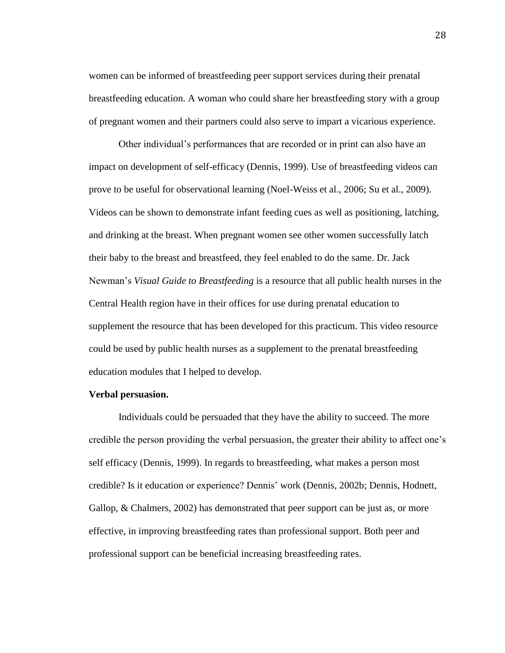women can be informed of breastfeeding peer support services during their prenatal breastfeeding education. A woman who could share her breastfeeding story with a group of pregnant women and their partners could also serve to impart a vicarious experience.

Other individual's performances that are recorded or in print can also have an impact on development of self-efficacy (Dennis, 1999). Use of breastfeeding videos can prove to be useful for observational learning (Noel-Weiss et al., 2006; Su et al., 2009). Videos can be shown to demonstrate infant feeding cues as well as positioning, latching, and drinking at the breast. When pregnant women see other women successfully latch their baby to the breast and breastfeed, they feel enabled to do the same. Dr. Jack Newman's *Visual Guide to Breastfeeding* is a resource that all public health nurses in the Central Health region have in their offices for use during prenatal education to supplement the resource that has been developed for this practicum. This video resource could be used by public health nurses as a supplement to the prenatal breastfeeding education modules that I helped to develop.

## **Verbal persuasion.**

Individuals could be persuaded that they have the ability to succeed. The more credible the person providing the verbal persuasion, the greater their ability to affect one's self efficacy (Dennis, 1999). In regards to breastfeeding, what makes a person most credible? Is it education or experience? Dennis' work (Dennis, 2002b; Dennis, Hodnett, Gallop, & Chalmers, 2002) has demonstrated that peer support can be just as, or more effective, in improving breastfeeding rates than professional support. Both peer and professional support can be beneficial increasing breastfeeding rates.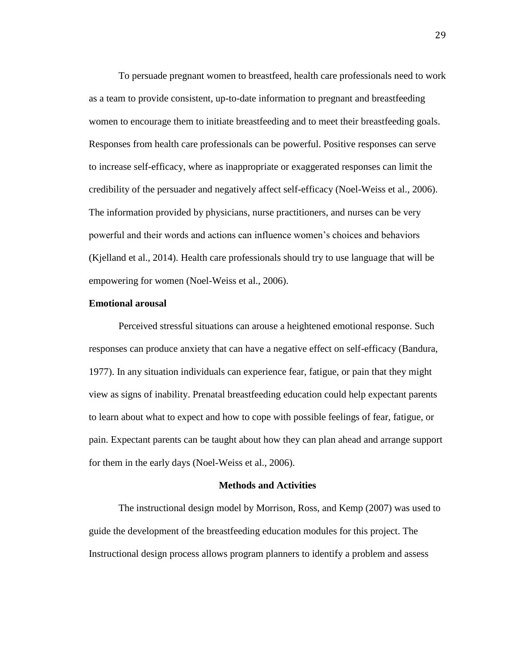To persuade pregnant women to breastfeed, health care professionals need to work as a team to provide consistent, up-to-date information to pregnant and breastfeeding women to encourage them to initiate breastfeeding and to meet their breastfeeding goals. Responses from health care professionals can be powerful. Positive responses can serve to increase self-efficacy, where as inappropriate or exaggerated responses can limit the credibility of the persuader and negatively affect self-efficacy (Noel-Weiss et al., 2006). The information provided by physicians, nurse practitioners, and nurses can be very powerful and their words and actions can influence women's choices and behaviors (Kjelland et al., 2014). Health care professionals should try to use language that will be empowering for women (Noel-Weiss et al., 2006).

## **Emotional arousal**

Perceived stressful situations can arouse a heightened emotional response. Such responses can produce anxiety that can have a negative effect on self-efficacy (Bandura, 1977). In any situation individuals can experience fear, fatigue, or pain that they might view as signs of inability. Prenatal breastfeeding education could help expectant parents to learn about what to expect and how to cope with possible feelings of fear, fatigue, or pain. Expectant parents can be taught about how they can plan ahead and arrange support for them in the early days (Noel-Weiss et al., 2006).

#### **Methods and Activities**

The instructional design model by Morrison, Ross, and Kemp (2007) was used to guide the development of the breastfeeding education modules for this project. The Instructional design process allows program planners to identify a problem and assess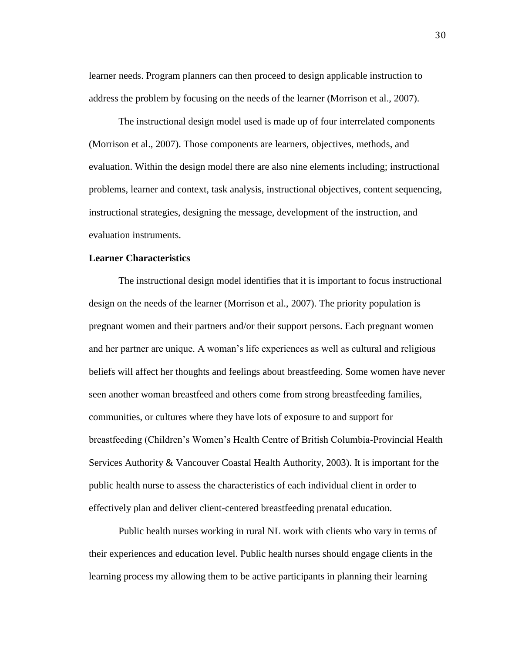learner needs. Program planners can then proceed to design applicable instruction to address the problem by focusing on the needs of the learner (Morrison et al., 2007).

The instructional design model used is made up of four interrelated components (Morrison et al., 2007). Those components are learners, objectives, methods, and evaluation. Within the design model there are also nine elements including; instructional problems, learner and context, task analysis, instructional objectives, content sequencing, instructional strategies, designing the message, development of the instruction, and evaluation instruments.

## **Learner Characteristics**

The instructional design model identifies that it is important to focus instructional design on the needs of the learner (Morrison et al., 2007). The priority population is pregnant women and their partners and/or their support persons. Each pregnant women and her partner are unique. A woman's life experiences as well as cultural and religious beliefs will affect her thoughts and feelings about breastfeeding. Some women have never seen another woman breastfeed and others come from strong breastfeeding families, communities, or cultures where they have lots of exposure to and support for breastfeeding (Children's Women's Health Centre of British Columbia-Provincial Health Services Authority & Vancouver Coastal Health Authority, 2003). It is important for the public health nurse to assess the characteristics of each individual client in order to effectively plan and deliver client-centered breastfeeding prenatal education.

Public health nurses working in rural NL work with clients who vary in terms of their experiences and education level. Public health nurses should engage clients in the learning process my allowing them to be active participants in planning their learning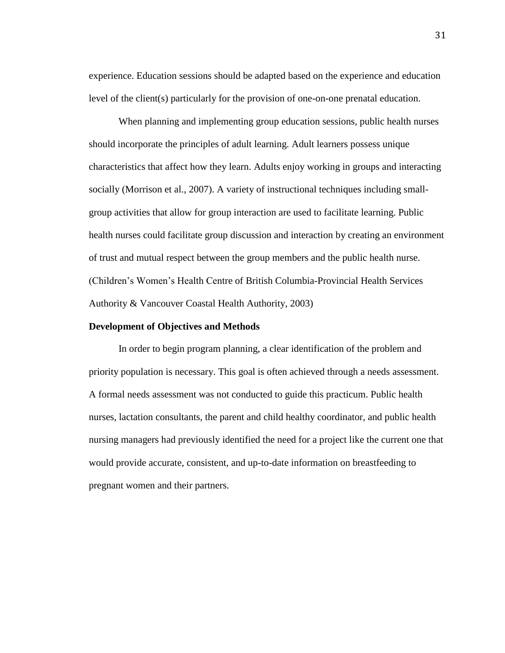experience. Education sessions should be adapted based on the experience and education level of the client(s) particularly for the provision of one-on-one prenatal education.

When planning and implementing group education sessions, public health nurses should incorporate the principles of adult learning. Adult learners possess unique characteristics that affect how they learn. Adults enjoy working in groups and interacting socially (Morrison et al., 2007). A variety of instructional techniques including smallgroup activities that allow for group interaction are used to facilitate learning. Public health nurses could facilitate group discussion and interaction by creating an environment of trust and mutual respect between the group members and the public health nurse. (Children's Women's Health Centre of British Columbia-Provincial Health Services Authority & Vancouver Coastal Health Authority, 2003)

## **Development of Objectives and Methods**

In order to begin program planning, a clear identification of the problem and priority population is necessary. This goal is often achieved through a needs assessment. A formal needs assessment was not conducted to guide this practicum. Public health nurses, lactation consultants, the parent and child healthy coordinator, and public health nursing managers had previously identified the need for a project like the current one that would provide accurate, consistent, and up-to-date information on breastfeeding to pregnant women and their partners.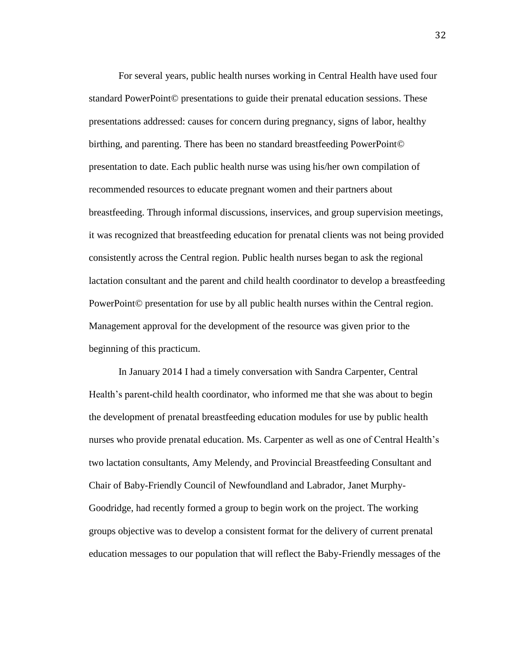For several years, public health nurses working in Central Health have used four standard PowerPoint© presentations to guide their prenatal education sessions. These presentations addressed: causes for concern during pregnancy, signs of labor, healthy birthing, and parenting. There has been no standard breastfeeding PowerPoint© presentation to date. Each public health nurse was using his/her own compilation of recommended resources to educate pregnant women and their partners about breastfeeding. Through informal discussions, inservices, and group supervision meetings, it was recognized that breastfeeding education for prenatal clients was not being provided consistently across the Central region. Public health nurses began to ask the regional lactation consultant and the parent and child health coordinator to develop a breastfeeding PowerPoint© presentation for use by all public health nurses within the Central region. Management approval for the development of the resource was given prior to the beginning of this practicum.

In January 2014 I had a timely conversation with Sandra Carpenter, Central Health's parent-child health coordinator, who informed me that she was about to begin the development of prenatal breastfeeding education modules for use by public health nurses who provide prenatal education. Ms. Carpenter as well as one of Central Health's two lactation consultants, Amy Melendy, and Provincial Breastfeeding Consultant and Chair of Baby-Friendly Council of Newfoundland and Labrador, Janet Murphy-Goodridge, had recently formed a group to begin work on the project. The working groups objective was to develop a consistent format for the delivery of current prenatal education messages to our population that will reflect the Baby-Friendly messages of the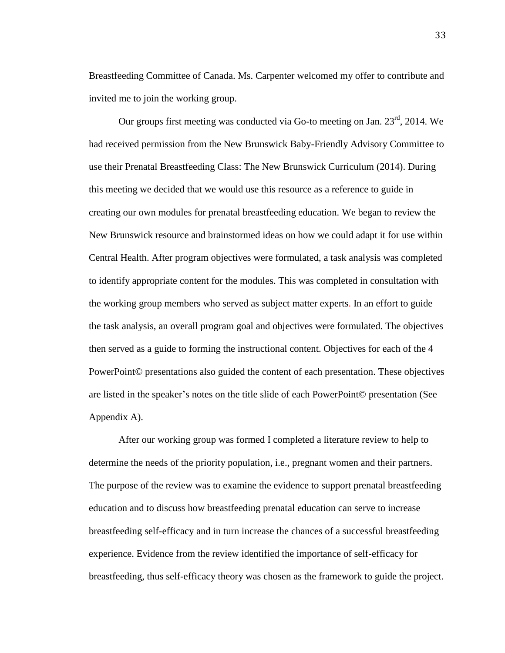Breastfeeding Committee of Canada. Ms. Carpenter welcomed my offer to contribute and invited me to join the working group.

Our groups first meeting was conducted via Go-to meeting on Jan. 23<sup>rd</sup>, 2014. We had received permission from the New Brunswick Baby-Friendly Advisory Committee to use their Prenatal Breastfeeding Class: The New Brunswick Curriculum (2014). During this meeting we decided that we would use this resource as a reference to guide in creating our own modules for prenatal breastfeeding education. We began to review the New Brunswick resource and brainstormed ideas on how we could adapt it for use within Central Health. After program objectives were formulated, a task analysis was completed to identify appropriate content for the modules. This was completed in consultation with the working group members who served as subject matter experts. In an effort to guide the task analysis, an overall program goal and objectives were formulated. The objectives then served as a guide to forming the instructional content. Objectives for each of the 4 PowerPoint© presentations also guided the content of each presentation. These objectives are listed in the speaker's notes on the title slide of each PowerPoint© presentation (See Appendix A).

After our working group was formed I completed a literature review to help to determine the needs of the priority population, i.e., pregnant women and their partners. The purpose of the review was to examine the evidence to support prenatal breastfeeding education and to discuss how breastfeeding prenatal education can serve to increase breastfeeding self-efficacy and in turn increase the chances of a successful breastfeeding experience. Evidence from the review identified the importance of self-efficacy for breastfeeding, thus self-efficacy theory was chosen as the framework to guide the project.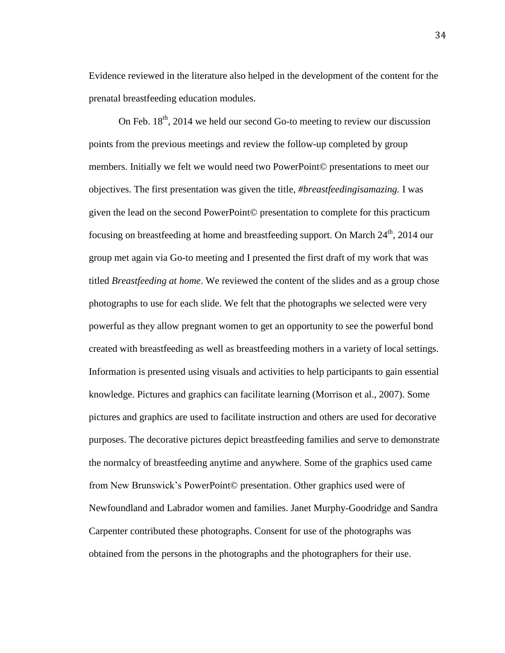Evidence reviewed in the literature also helped in the development of the content for the prenatal breastfeeding education modules.

On Feb.  $18<sup>th</sup>$ , 2014 we held our second Go-to meeting to review our discussion points from the previous meetings and review the follow-up completed by group members. Initially we felt we would need two PowerPoint© presentations to meet our objectives. The first presentation was given the title, *#breastfeedingisamazing.* I was given the lead on the second PowerPoint© presentation to complete for this practicum focusing on breastfeeding at home and breastfeeding support. On March  $24<sup>th</sup>$ , 2014 our group met again via Go-to meeting and I presented the first draft of my work that was titled *Breastfeeding at home*. We reviewed the content of the slides and as a group chose photographs to use for each slide. We felt that the photographs we selected were very powerful as they allow pregnant women to get an opportunity to see the powerful bond created with breastfeeding as well as breastfeeding mothers in a variety of local settings. Information is presented using visuals and activities to help participants to gain essential knowledge. Pictures and graphics can facilitate learning (Morrison et al., 2007). Some pictures and graphics are used to facilitate instruction and others are used for decorative purposes. The decorative pictures depict breastfeeding families and serve to demonstrate the normalcy of breastfeeding anytime and anywhere. Some of the graphics used came from New Brunswick's PowerPoint© presentation. Other graphics used were of Newfoundland and Labrador women and families. Janet Murphy-Goodridge and Sandra Carpenter contributed these photographs. Consent for use of the photographs was obtained from the persons in the photographs and the photographers for their use.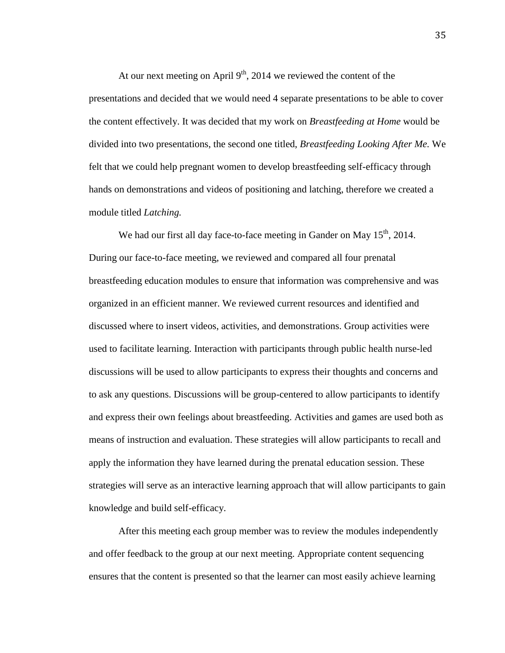At our next meeting on April  $9<sup>th</sup>$ , 2014 we reviewed the content of the presentations and decided that we would need 4 separate presentations to be able to cover the content effectively. It was decided that my work on *Breastfeeding at Home* would be divided into two presentations, the second one titled, *Breastfeeding Looking After Me.* We felt that we could help pregnant women to develop breastfeeding self-efficacy through hands on demonstrations and videos of positioning and latching, therefore we created a module titled *Latching.*

We had our first all day face-to-face meeting in Gander on May  $15<sup>th</sup>$ , 2014. During our face-to-face meeting, we reviewed and compared all four prenatal breastfeeding education modules to ensure that information was comprehensive and was organized in an efficient manner. We reviewed current resources and identified and discussed where to insert videos, activities, and demonstrations. Group activities were used to facilitate learning. Interaction with participants through public health nurse-led discussions will be used to allow participants to express their thoughts and concerns and to ask any questions. Discussions will be group-centered to allow participants to identify and express their own feelings about breastfeeding. Activities and games are used both as means of instruction and evaluation. These strategies will allow participants to recall and apply the information they have learned during the prenatal education session. These strategies will serve as an interactive learning approach that will allow participants to gain knowledge and build self-efficacy.

After this meeting each group member was to review the modules independently and offer feedback to the group at our next meeting. Appropriate content sequencing ensures that the content is presented so that the learner can most easily achieve learning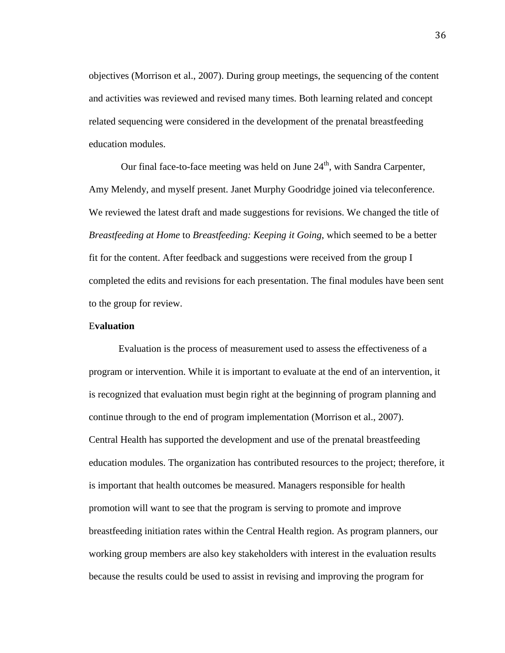objectives (Morrison et al., 2007). During group meetings, the sequencing of the content and activities was reviewed and revised many times. Both learning related and concept related sequencing were considered in the development of the prenatal breastfeeding education modules.

Our final face-to-face meeting was held on June  $24<sup>th</sup>$ , with Sandra Carpenter, Amy Melendy, and myself present. Janet Murphy Goodridge joined via teleconference. We reviewed the latest draft and made suggestions for revisions. We changed the title of *Breastfeeding at Home* to *Breastfeeding: Keeping it Going*, which seemed to be a better fit for the content. After feedback and suggestions were received from the group I completed the edits and revisions for each presentation. The final modules have been sent to the group for review.

# E**valuation**

Evaluation is the process of measurement used to assess the effectiveness of a program or intervention. While it is important to evaluate at the end of an intervention, it is recognized that evaluation must begin right at the beginning of program planning and continue through to the end of program implementation (Morrison et al., 2007). Central Health has supported the development and use of the prenatal breastfeeding education modules. The organization has contributed resources to the project; therefore, it is important that health outcomes be measured. Managers responsible for health promotion will want to see that the program is serving to promote and improve breastfeeding initiation rates within the Central Health region. As program planners, our working group members are also key stakeholders with interest in the evaluation results because the results could be used to assist in revising and improving the program for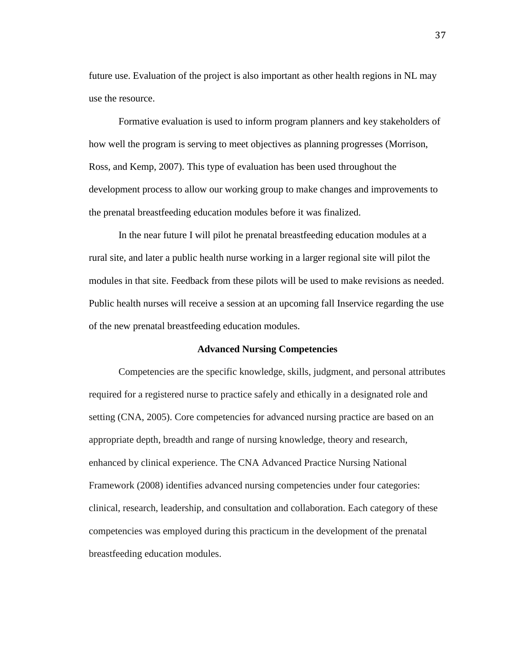future use. Evaluation of the project is also important as other health regions in NL may use the resource.

Formative evaluation is used to inform program planners and key stakeholders of how well the program is serving to meet objectives as planning progresses (Morrison, Ross, and Kemp, 2007). This type of evaluation has been used throughout the development process to allow our working group to make changes and improvements to the prenatal breastfeeding education modules before it was finalized.

In the near future I will pilot he prenatal breastfeeding education modules at a rural site, and later a public health nurse working in a larger regional site will pilot the modules in that site. Feedback from these pilots will be used to make revisions as needed. Public health nurses will receive a session at an upcoming fall Inservice regarding the use of the new prenatal breastfeeding education modules.

# **Advanced Nursing Competencies**

Competencies are the specific knowledge, skills, judgment, and personal attributes required for a registered nurse to practice safely and ethically in a designated role and setting (CNA, 2005). Core competencies for advanced nursing practice are based on an appropriate depth, breadth and range of nursing knowledge, theory and research, enhanced by clinical experience. The CNA Advanced Practice Nursing National Framework (2008) identifies advanced nursing competencies under four categories: clinical, research, leadership, and consultation and collaboration. Each category of these competencies was employed during this practicum in the development of the prenatal breastfeeding education modules.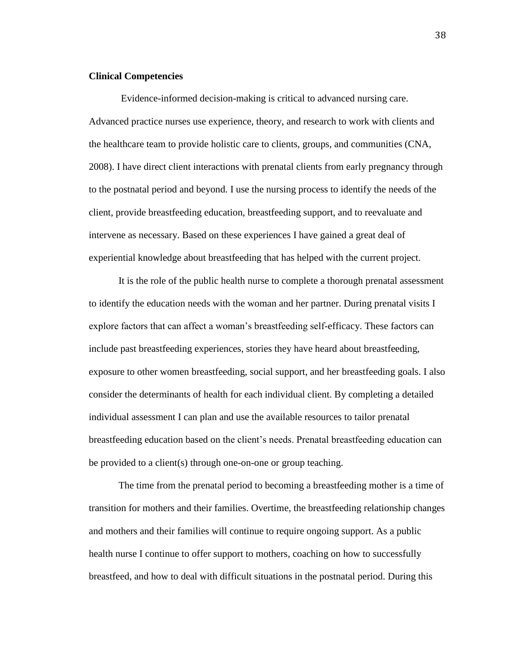#### **Clinical Competencies**

Evidence-informed decision-making is critical to advanced nursing care. Advanced practice nurses use experience, theory, and research to work with clients and the healthcare team to provide holistic care to clients, groups, and communities (CNA, 2008). I have direct client interactions with prenatal clients from early pregnancy through to the postnatal period and beyond. I use the nursing process to identify the needs of the client, provide breastfeeding education, breastfeeding support, and to reevaluate and intervene as necessary. Based on these experiences I have gained a great deal of experiential knowledge about breastfeeding that has helped with the current project.

It is the role of the public health nurse to complete a thorough prenatal assessment to identify the education needs with the woman and her partner. During prenatal visits I explore factors that can affect a woman's breastfeeding self-efficacy. These factors can include past breastfeeding experiences, stories they have heard about breastfeeding, exposure to other women breastfeeding, social support, and her breastfeeding goals. I also consider the determinants of health for each individual client. By completing a detailed individual assessment I can plan and use the available resources to tailor prenatal breastfeeding education based on the client's needs. Prenatal breastfeeding education can be provided to a client(s) through one-on-one or group teaching.

The time from the prenatal period to becoming a breastfeeding mother is a time of transition for mothers and their families. Overtime, the breastfeeding relationship changes and mothers and their families will continue to require ongoing support. As a public health nurse I continue to offer support to mothers, coaching on how to successfully breastfeed, and how to deal with difficult situations in the postnatal period. During this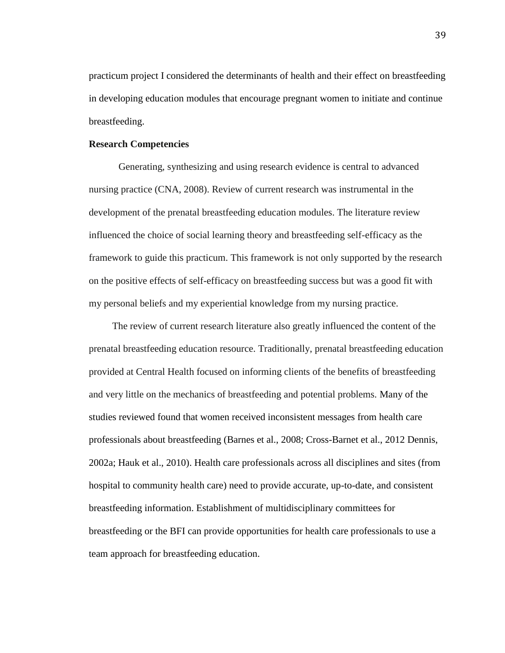practicum project I considered the determinants of health and their effect on breastfeeding in developing education modules that encourage pregnant women to initiate and continue breastfeeding.

# **Research Competencies**

Generating, synthesizing and using research evidence is central to advanced nursing practice (CNA, 2008). Review of current research was instrumental in the development of the prenatal breastfeeding education modules. The literature review influenced the choice of social learning theory and breastfeeding self-efficacy as the framework to guide this practicum. This framework is not only supported by the research on the positive effects of self-efficacy on breastfeeding success but was a good fit with my personal beliefs and my experiential knowledge from my nursing practice.

The review of current research literature also greatly influenced the content of the prenatal breastfeeding education resource. Traditionally, prenatal breastfeeding education provided at Central Health focused on informing clients of the benefits of breastfeeding and very little on the mechanics of breastfeeding and potential problems. Many of the studies reviewed found that women received inconsistent messages from health care professionals about breastfeeding (Barnes et al., 2008; Cross-Barnet et al., 2012 Dennis, 2002a; Hauk et al., 2010). Health care professionals across all disciplines and sites (from hospital to community health care) need to provide accurate, up-to-date, and consistent breastfeeding information. Establishment of multidisciplinary committees for breastfeeding or the BFI can provide opportunities for health care professionals to use a team approach for breastfeeding education.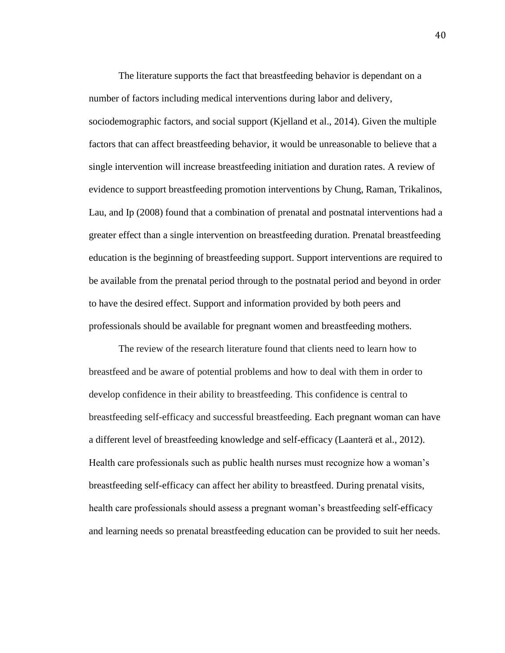The literature supports the fact that breastfeeding behavior is dependant on a number of factors including medical interventions during labor and delivery, sociodemographic factors, and social support (Kjelland et al., 2014). Given the multiple factors that can affect breastfeeding behavior, it would be unreasonable to believe that a single intervention will increase breastfeeding initiation and duration rates. A review of evidence to support breastfeeding promotion interventions by Chung, Raman, Trikalinos, Lau, and Ip (2008) found that a combination of prenatal and postnatal interventions had a greater effect than a single intervention on breastfeeding duration. Prenatal breastfeeding education is the beginning of breastfeeding support. Support interventions are required to be available from the prenatal period through to the postnatal period and beyond in order to have the desired effect. Support and information provided by both peers and professionals should be available for pregnant women and breastfeeding mothers.

The review of the research literature found that clients need to learn how to breastfeed and be aware of potential problems and how to deal with them in order to develop confidence in their ability to breastfeeding. This confidence is central to breastfeeding self-efficacy and successful breastfeeding. Each pregnant woman can have a different level of breastfeeding knowledge and self-efficacy (Laanterä et al., 2012). Health care professionals such as public health nurses must recognize how a woman's breastfeeding self-efficacy can affect her ability to breastfeed. During prenatal visits, health care professionals should assess a pregnant woman's breastfeeding self-efficacy and learning needs so prenatal breastfeeding education can be provided to suit her needs.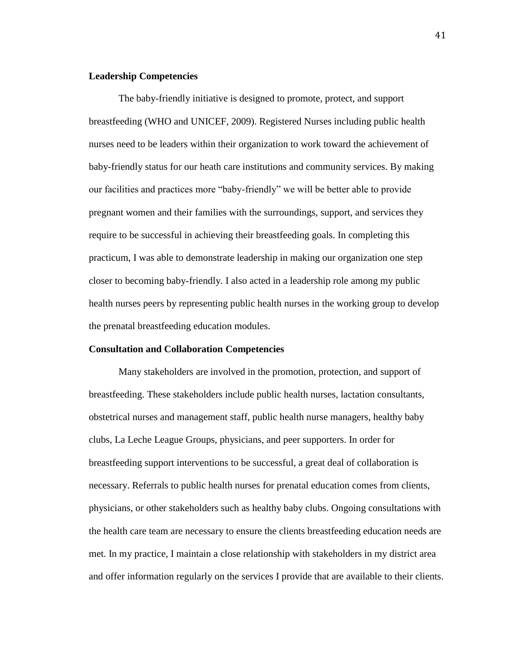#### **Leadership Competencies**

The baby-friendly initiative is designed to promote, protect, and support breastfeeding (WHO and UNICEF, 2009). Registered Nurses including public health nurses need to be leaders within their organization to work toward the achievement of baby-friendly status for our heath care institutions and community services. By making our facilities and practices more "baby-friendly" we will be better able to provide pregnant women and their families with the surroundings, support, and services they require to be successful in achieving their breastfeeding goals. In completing this practicum, I was able to demonstrate leadership in making our organization one step closer to becoming baby-friendly. I also acted in a leadership role among my public health nurses peers by representing public health nurses in the working group to develop the prenatal breastfeeding education modules.

# **Consultation and Collaboration Competencies**

Many stakeholders are involved in the promotion, protection, and support of breastfeeding. These stakeholders include public health nurses, lactation consultants, obstetrical nurses and management staff, public health nurse managers, healthy baby clubs, La Leche League Groups, physicians, and peer supporters. In order for breastfeeding support interventions to be successful, a great deal of collaboration is necessary. Referrals to public health nurses for prenatal education comes from clients, physicians, or other stakeholders such as healthy baby clubs. Ongoing consultations with the health care team are necessary to ensure the clients breastfeeding education needs are met. In my practice, I maintain a close relationship with stakeholders in my district area and offer information regularly on the services I provide that are available to their clients.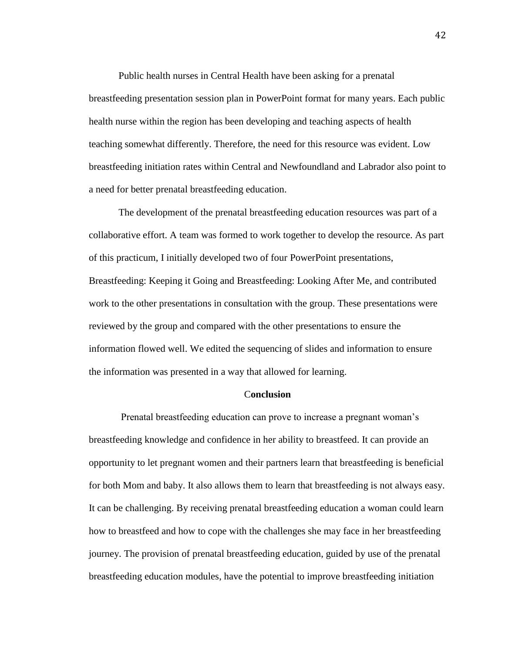Public health nurses in Central Health have been asking for a prenatal breastfeeding presentation session plan in PowerPoint format for many years. Each public health nurse within the region has been developing and teaching aspects of health teaching somewhat differently. Therefore, the need for this resource was evident. Low breastfeeding initiation rates within Central and Newfoundland and Labrador also point to a need for better prenatal breastfeeding education.

The development of the prenatal breastfeeding education resources was part of a collaborative effort. A team was formed to work together to develop the resource. As part of this practicum, I initially developed two of four PowerPoint presentations, Breastfeeding: Keeping it Going and Breastfeeding: Looking After Me, and contributed work to the other presentations in consultation with the group. These presentations were reviewed by the group and compared with the other presentations to ensure the information flowed well. We edited the sequencing of slides and information to ensure the information was presented in a way that allowed for learning.

### C**onclusion**

Prenatal breastfeeding education can prove to increase a pregnant woman's breastfeeding knowledge and confidence in her ability to breastfeed. It can provide an opportunity to let pregnant women and their partners learn that breastfeeding is beneficial for both Mom and baby. It also allows them to learn that breastfeeding is not always easy. It can be challenging. By receiving prenatal breastfeeding education a woman could learn how to breastfeed and how to cope with the challenges she may face in her breastfeeding journey. The provision of prenatal breastfeeding education, guided by use of the prenatal breastfeeding education modules, have the potential to improve breastfeeding initiation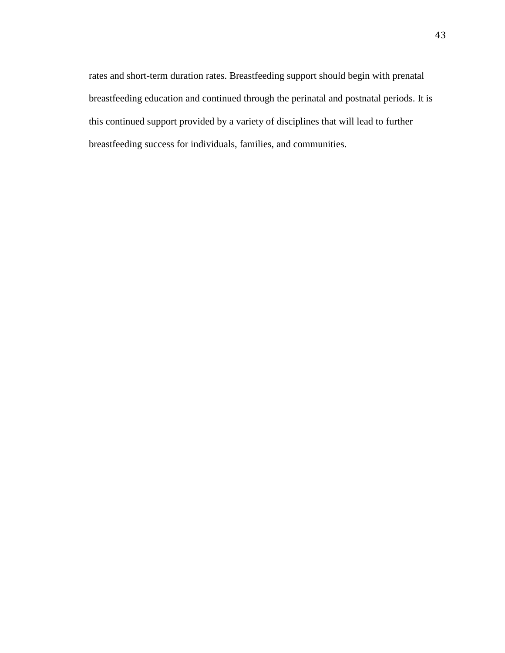rates and short-term duration rates. Breastfeeding support should begin with prenatal breastfeeding education and continued through the perinatal and postnatal periods. It is this continued support provided by a variety of disciplines that will lead to further breastfeeding success for individuals, families, and communities.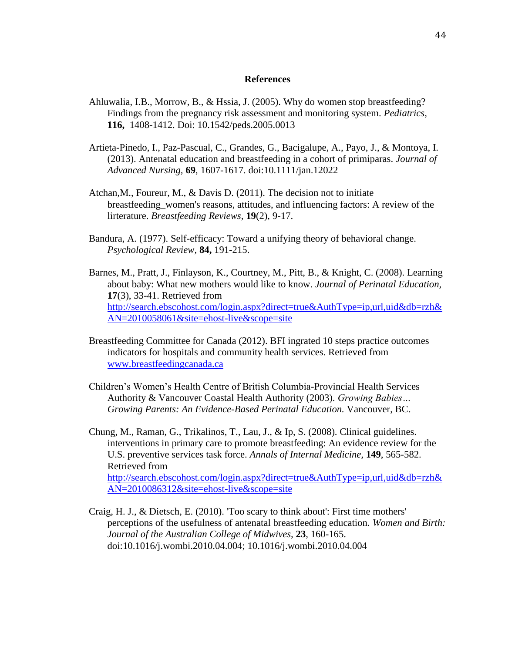## **References**

- Ahluwalia, I.B., Morrow, B., & Hssia, J. (2005). Why do women stop breastfeeding? Findings from the pregnancy risk assessment and monitoring system. *Pediatrics,*  **116,** 1408-1412. Doi: 10.1542/peds.2005.0013
- Artieta-Pinedo, I., Paz-Pascual, C., Grandes, G., Bacigalupe, A., Payo, J., & Montoya, I. (2013). Antenatal education and breastfeeding in a cohort of primiparas. *Journal of Advanced Nursing,* **69**, 1607-1617. doi:10.1111/jan.12022
- Atchan,M., Foureur, M., & Davis D. (2011). The decision not to initiate breastfeeding\_women's reasons, attitudes, and influencing factors: A review of the lirterature. *Breastfeeding Reviews,* **19**(2), 9-17.
- Bandura, A. (1977). Self-efficacy: Toward a unifying theory of behavioral change. *Psychological Review,* **84,** 191-215.
- Barnes, M., Pratt, J., Finlayson, K., Courtney, M., Pitt, B., & Knight, C. (2008). Learning about baby: What new mothers would like to know. *Journal of Perinatal Education,*  **17**(3), 33-41. Retrieved from [http://search.ebscohost.com/login.aspx?direct=true&AuthType=ip,url,uid&db=rzh&](http://search.ebscohost.com/login.aspx?direct=true&AuthType=ip,url,uid&db=rzh&AN=2010058061&site=ehost-live&scope=site) [AN=2010058061&site=ehost-live&scope=site](http://search.ebscohost.com/login.aspx?direct=true&AuthType=ip,url,uid&db=rzh&AN=2010058061&site=ehost-live&scope=site)
- Breastfeeding Committee for Canada (2012). BFI ingrated 10 steps practice outcomes indicators for hospitals and community health services. Retrieved from [www.breastfeedingcanada.ca](http://www.breastfeedingcanada.ca/)
- Children's Women's Health Centre of British Columbia-Provincial Health Services Authority & Vancouver Coastal Health Authority (2003). *Growing Babies… Growing Parents: An Evidence-Based Perinatal Education.* Vancouver, BC.

Chung, M., Raman, G., Trikalinos, T., Lau, J., & Ip, S. (2008). Clinical guidelines. interventions in primary care to promote breastfeeding: An evidence review for the U.S. preventive services task force. *Annals of Internal Medicine,* **149**, 565-582. Retrieved from [http://search.ebscohost.com/login.aspx?direct=true&AuthType=ip,url,uid&db=rzh&](http://search.ebscohost.com/login.aspx?direct=true&AuthType=ip,url,uid&db=rzh&AN=2010086312&site=ehost-live&scope=site) [AN=2010086312&site=ehost-live&scope=site](http://search.ebscohost.com/login.aspx?direct=true&AuthType=ip,url,uid&db=rzh&AN=2010086312&site=ehost-live&scope=site)

Craig, H. J., & Dietsch, E. (2010). 'Too scary to think about': First time mothers' perceptions of the usefulness of antenatal breastfeeding education. *Women and Birth: Journal of the Australian College of Midwives,* **23**, 160-165. doi:10.1016/j.wombi.2010.04.004; 10.1016/j.wombi.2010.04.004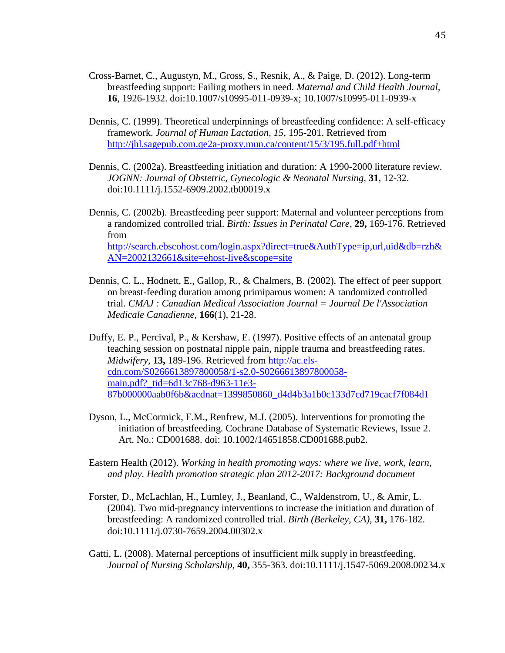- Cross-Barnet, C., Augustyn, M., Gross, S., Resnik, A., & Paige, D. (2012). Long-term breastfeeding support: Failing mothers in need. *Maternal and Child Health Journal,*  **16**, 1926-1932. doi:10.1007/s10995-011-0939-x; 10.1007/s10995-011-0939-x
- Dennis, C. (1999). Theoretical underpinnings of breastfeeding confidence: A self-efficacy framework. *Journal of Human Lactation, 15*, 195-201. Retrieved from <http://jhl.sagepub.com.qe2a-proxy.mun.ca/content/15/3/195.full.pdf+html>
- Dennis, C. (2002a). Breastfeeding initiation and duration: A 1990-2000 literature review. *JOGNN: Journal of Obstetric, Gynecologic & Neonatal Nursing,* **31**, 12-32. doi:10.1111/j.1552-6909.2002.tb00019.x
- Dennis, C. (2002b). Breastfeeding peer support: Maternal and volunteer perceptions from a randomized controlled trial. *Birth: Issues in Perinatal Care,* **29,** 169-176. Retrieved from [http://search.ebscohost.com/login.aspx?direct=true&AuthType=ip,url,uid&db=rzh&](http://search.ebscohost.com/login.aspx?direct=true&AuthType=ip,url,uid&db=rzh&AN=2002132661&site=ehost-live&scope=site) [AN=2002132661&site=ehost-live&scope=site](http://search.ebscohost.com/login.aspx?direct=true&AuthType=ip,url,uid&db=rzh&AN=2002132661&site=ehost-live&scope=site)
- Dennis, C. L., Hodnett, E., Gallop, R., & Chalmers, B. (2002). The effect of peer support on breast-feeding duration among primiparous women: A randomized controlled trial. *CMAJ : Canadian Medical Association Journal = Journal De l'Association Medicale Canadienne,* **166**(1), 21-28.
- Duffy, E. P., Percival, P., & Kershaw, E. (1997). Positive effects of an antenatal group teaching session on postnatal nipple pain, nipple trauma and breastfeeding rates. *Midwifery,* **13,** 189-196. Retrieved from [http://ac.els](http://ac.els-cdn.com/S0266613897800058/1-s2.0-S0266613897800058-)[cdn.com/S0266613897800058/1-s2.0-S0266613897800058](http://ac.els-cdn.com/S0266613897800058/1-s2.0-S0266613897800058-) main.pdf?\_tid=6d13c768-d963-11e3- 87b000000aab0f6b&acdnat=1399850860\_d4d4b3a1b0c133d7cd719cacf7f084d1
- Dyson, L., McCormick, F.M., Renfrew, M.J. (2005). Interventions for promoting the initiation of breastfeeding. Cochrane Database of Systematic Reviews, Issue 2. Art. No.: CD001688. doi: 10.1002/14651858.CD001688.pub2.
- Eastern Health (2012). *Working in health promoting ways: where we live, work, learn, and play. Health promotion strategic plan 2012-2017: Background document*
- Forster, D., McLachlan, H., Lumley, J., Beanland, C., Waldenstrom, U., & Amir, L. (2004). Two mid-pregnancy interventions to increase the initiation and duration of breastfeeding: A randomized controlled trial. *Birth (Berkeley, CA),* **31,** 176-182. doi:10.1111/j.0730-7659.2004.00302.x
- Gatti, L. (2008). Maternal perceptions of insufficient milk supply in breastfeeding. *Journal of Nursing Scholarship,* **40,** 355-363. doi:10.1111/j.1547-5069.2008.00234.x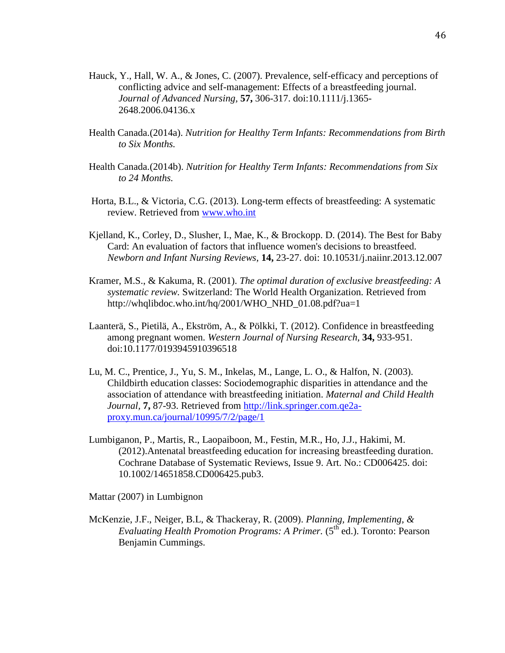- Hauck, Y., Hall, W. A., & Jones, C. (2007). Prevalence, self-efficacy and perceptions of conflicting advice and self-management: Effects of a breastfeeding journal. *Journal of Advanced Nursing,* **57,** 306-317. doi:10.1111/j.1365- 2648.2006.04136.x
- Health Canada.(2014a). *Nutrition for Healthy Term Infants: Recommendations from Birth to Six Months.*
- Health Canada.(2014b). *Nutrition for Healthy Term Infants: Recommendations from Six to 24 Months.*
- Horta, B.L., & Victoria, C.G. (2013). Long-term effects of breastfeeding: A systematic review. Retrieved from [www.who.int](http://www.who.int/)
- Kjelland, K., Corley, D., Slusher, I., Mae, K., & Brockopp. D. (2014). The Best for Baby Card: An evaluation of factors that influence women's decisions to breastfeed. *Newborn and Infant Nursing Reviews,* **14,** 23-27. doi: 10.10531/j.naiinr.2013.12.007
- Kramer, M.S., & Kakuma, R. (2001). *The optimal duration of exclusive breastfeeding: A systematic review.* Switzerland: The World Health Organization. Retrieved from http://whqlibdoc.who.int/hq/2001/WHO\_NHD\_01.08.pdf?ua=1
- Laanterä, S., Pietilä, A., Ekström, A., & Pölkki, T. (2012). Confidence in breastfeeding among pregnant women. *Western Journal of Nursing Research,* **34,** 933-951. doi:10.1177/0193945910396518
- Lu, M. C., Prentice, J., Yu, S. M., Inkelas, M., Lange, L. O., & Halfon, N. (2003). Childbirth education classes: Sociodemographic disparities in attendance and the association of attendance with breastfeeding initiation. *Maternal and Child Health Journal,* **7,** 87-93. Retrieved from [http://link.springer.com.qe2a](http://link.springer.com.qe2a-proxy.mun.ca/journal/10995/7/2/page/1)[proxy.mun.ca/journal/10995/7/2/page/1](http://link.springer.com.qe2a-proxy.mun.ca/journal/10995/7/2/page/1)
- Lumbiganon, P., Martis, R., Laopaiboon, M., Festin, M.R., Ho, J.J., Hakimi, M. (2012).Antenatal breastfeeding education for increasing breastfeeding duration. Cochrane Database of Systematic Reviews, Issue 9. Art. No.: CD006425. doi: 10.1002/14651858.CD006425.pub3.

Mattar (2007) in Lumbignon

McKenzie, J.F., Neiger, B.L, & Thackeray, R. (2009). *Planning, Implementing, & Evaluating Health Promotion Programs: A Primer.* (5<sup>th</sup> ed.). Toronto: Pearson Benjamin Cummings.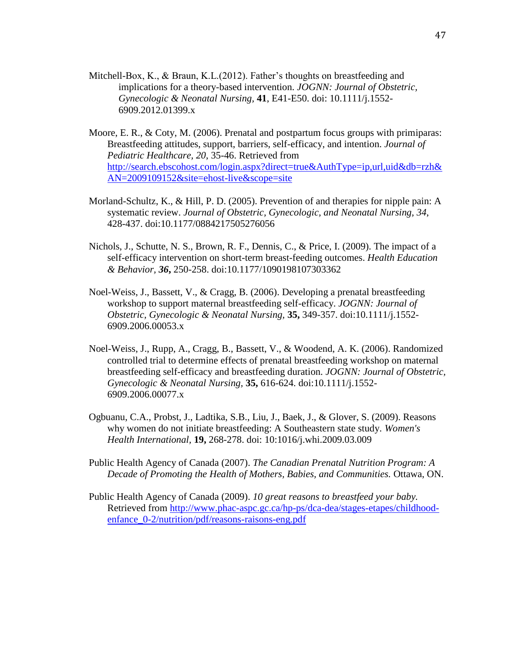- Mitchell-Box, K., & Braun, K.L. (2012). Father's thoughts on breastfeeding and implications for a theory-based intervention. *JOGNN: Journal of Obstetric, Gynecologic & Neonatal Nursing,* **41**, E41-E50. doi: 10.1111/j.1552- 6909.2012.01399.x
- Moore, E. R., & Coty, M. (2006). Prenatal and postpartum focus groups with primiparas: Breastfeeding attitudes, support, barriers, self-efficacy, and intention. *Journal of Pediatric Healthcare, 20*, 35-46. Retrieved from [http://search.ebscohost.com/login.aspx?direct=true&AuthType=ip,url,uid&db=rzh&](http://search.ebscohost.com/login.aspx?direct=true&AuthType=ip,url,uid&db=rzh&AN=2009109152&site=ehost-live&scope=site) [AN=2009109152&site=ehost-live&scope=site](http://search.ebscohost.com/login.aspx?direct=true&AuthType=ip,url,uid&db=rzh&AN=2009109152&site=ehost-live&scope=site)
- Morland-Schultz, K., & Hill, P. D. (2005). Prevention of and therapies for nipple pain: A systematic review. *Journal of Obstetric, Gynecologic, and Neonatal Nursing, 34*, 428-437. doi:10.1177/0884217505276056
- Nichols, J., Schutte, N. S., Brown, R. F., Dennis, C., & Price, I. (2009). The impact of a self-efficacy intervention on short-term breast-feeding outcomes. *Health Education & Behavior, 36***,** 250-258. doi:10.1177/1090198107303362
- Noel-Weiss, J., Bassett, V., & Cragg, B. (2006). Developing a prenatal breastfeeding workshop to support maternal breastfeeding self-efficacy. *JOGNN: Journal of Obstetric, Gynecologic & Neonatal Nursing,* **35,** 349-357. doi:10.1111/j.1552- 6909.2006.00053.x
- Noel-Weiss, J., Rupp, A., Cragg, B., Bassett, V., & Woodend, A. K. (2006). Randomized controlled trial to determine effects of prenatal breastfeeding workshop on maternal breastfeeding self-efficacy and breastfeeding duration. *JOGNN: Journal of Obstetric, Gynecologic & Neonatal Nursing,* **35,** 616-624. doi:10.1111/j.1552- 6909.2006.00077.x
- Ogbuanu, C.A., Probst, J., Ladtika, S.B., Liu, J., Baek, J., & Glover, S. (2009). Reasons why women do not initiate breastfeeding: A Southeastern state study. *Women's Health International,* **19,** 268-278. doi: 10:1016/j.whi.2009.03.009
- Public Health Agency of Canada (2007). *The Canadian Prenatal Nutrition Program: A Decade of Promoting the Health of Mothers, Babies, and Communities.* Ottawa, ON.
- Public Health Agency of Canada (2009). *10 great reasons to breastfeed your baby.*  Retrieved from [http://www.phac-aspc.gc.ca/hp-ps/dca-dea/stages-etapes/childhood](http://www.phac-aspc.gc.ca/hp-ps/dca-dea/stages-etapes/childhood-enfance_0-2/nutrition/pdf/reasons-raisons-eng.pdf)[enfance\\_0-2/nutrition/pdf/reasons-raisons-eng.pdf](http://www.phac-aspc.gc.ca/hp-ps/dca-dea/stages-etapes/childhood-enfance_0-2/nutrition/pdf/reasons-raisons-eng.pdf)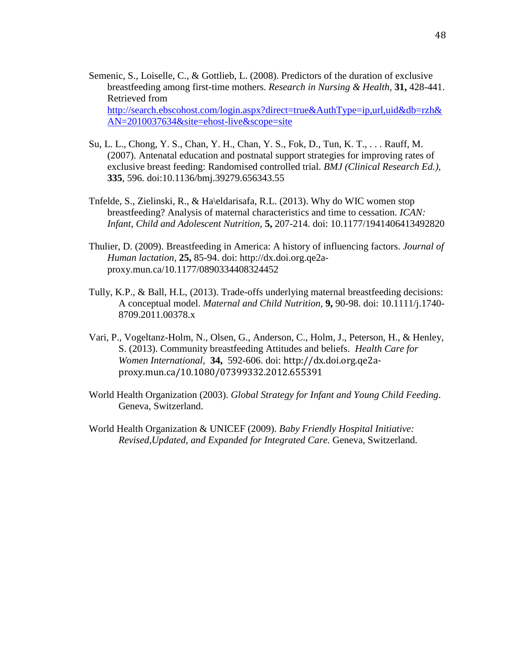- Semenic, S., Loiselle, C., & Gottlieb, L. (2008). Predictors of the duration of exclusive breastfeeding among first-time mothers. *Research in Nursing & Health,* **31,** 428-441. Retrieved from [http://search.ebscohost.com/login.aspx?direct=true&AuthType=ip,url,uid&db=rzh&](http://search.ebscohost.com/login.aspx?direct=true&AuthType=ip,url,uid&db=rzh&AN=2010037634&site=ehost-live&scope=site) [AN=2010037634&site=ehost-live&scope=site](http://search.ebscohost.com/login.aspx?direct=true&AuthType=ip,url,uid&db=rzh&AN=2010037634&site=ehost-live&scope=site)
- Su, L. L., Chong, Y. S., Chan, Y. H., Chan, Y. S., Fok, D., Tun, K. T., . . . Rauff, M. (2007). Antenatal education and postnatal support strategies for improving rates of exclusive breast feeding: Randomised controlled trial. *BMJ (Clinical Research Ed.),*  **335**, 596. doi:10.1136/bmj.39279.656343.55
- Tnfelde, S., Zielinski, R., & Ha\eldarisafa, R.L. (2013). Why do WIC women stop breastfeeding? Analysis of maternal characteristics and time to cessation. *ICAN: Infant, Child and Adolescent Nutrition,* **5,** 207-214. doi: 10.1177/1941406413492820
- Thulier, D. (2009). Breastfeeding in America: A history of influencing factors. *Journal of Human lactation,* **25,** 85-94. doi: http://dx.doi.org.qe2aproxy.mun.ca/10.1177/0890334408324452
- Tully, K.P., & Ball, H.L, (2013). Trade-offs underlying maternal breastfeeding decisions: A conceptual model. *Maternal and Child Nutrition,* **9,** 90-98. doi: 10.1111/j.1740- 8709.2011.00378.x
- Vari, P., Vogeltanz-Holm, N., Olsen, G., Anderson, C., Holm, J., Peterson, H., & Henley, S. (2013). Community breastfeeding Attitudes and beliefs. *Health Care for Women International,* **34,** 592-606. doi: http://dx.doi.org.qe2aproxy.mun.ca/10.1080/07399332.2012.655391
- World Health Organization (2003). *Global Strategy for Infant and Young Child Feeding*. Geneva, Switzerland.
- World Health Organization & UNICEF (2009). *Baby Friendly Hospital Initiative: Revised,Updated, and Expanded for Integrated Care.* Geneva, Switzerland.